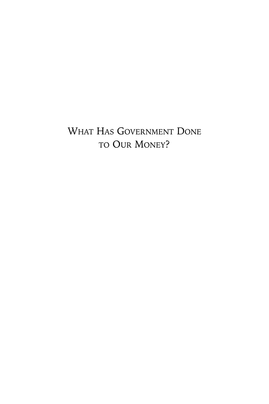# WHAT HAS GOVERNMENT DONE TO OUR MONEY?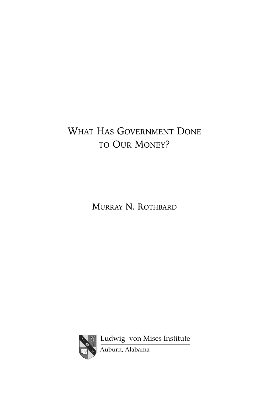# WHAT HAS GOVERNMENT DONE TO OUR MONEY?

MURRAY N. ROTHBARD



Ludwig von Mises Institute Auburn, Alabama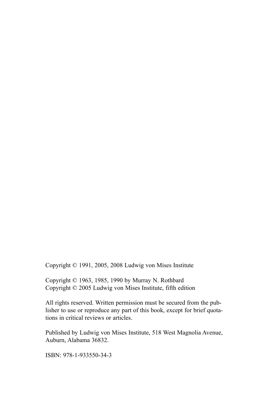Copyright © 1991, 2005, 2008 Ludwig von Mises Institute

Copyright © 1963, 1985, 1990 by Murray N. Rothbard Copyright © 2005 Ludwig von Mises Institute, fifth edition

All rights reserved. Written permission must be secured from the publisher to use or reproduce any part of this book, except for brief quotations in critical reviews or articles.

Published by Ludwig von Mises Institute, 518 West Magnolia Avenue, Auburn, Alabama 36832.

ISBN: 978-1-933550-34-3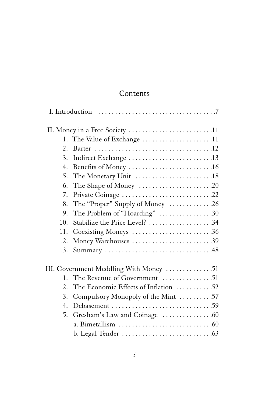#### Contents

| I. Introduction $\dots\dots\dots\dots\dots\dots\dots\dots\dots\dots$ |                                      |
|----------------------------------------------------------------------|--------------------------------------|
|                                                                      |                                      |
|                                                                      |                                      |
|                                                                      | 1. The Value of Exchange 11          |
| 2.                                                                   |                                      |
| 3 <sub>1</sub>                                                       |                                      |
| 4.                                                                   | Benefits of Money 16                 |
|                                                                      |                                      |
| 6.                                                                   | The Shape of Money 20                |
| 7.                                                                   | Private Coinage 22                   |
| 8.                                                                   | The "Proper" Supply of Money 26      |
| 9.                                                                   | The Problem of "Hoarding" 30         |
| 10.                                                                  | Stabilize the Price Level? 34        |
| 11.                                                                  | Coexisting Moneys 36                 |
| 12.                                                                  | Money Warehouses 39                  |
| 13.                                                                  |                                      |
|                                                                      |                                      |
| III. Government Meddling With Money 51                               |                                      |
|                                                                      | 1. The Revenue of Government 51      |
| 2.                                                                   | The Economic Effects of Inflation 52 |
| 3.                                                                   | Compulsory Monopoly of the Mint 57   |
| 4.                                                                   |                                      |
|                                                                      | 5. Gresham's Law and Coinage 60      |
|                                                                      |                                      |
|                                                                      |                                      |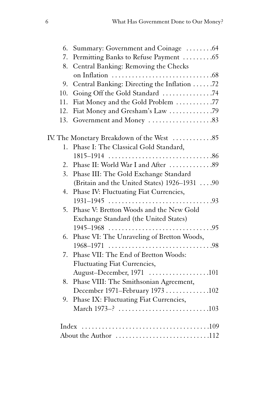| 6.      | Summary: Government and Coinage 64             |
|---------|------------------------------------------------|
| 7.      | Permitting Banks to Refuse Payment 65          |
| 8.      | Central Banking: Removing the Checks           |
|         |                                                |
| 9.      | Central Banking: Directing the Inflation 72    |
| 10.     | Going Off the Gold Standard 74                 |
| 11.     | Fiat Money and the Gold Problem 77             |
| 12.     | Fiat Money and Gresham's Law 79                |
| 13.     | Government and Money 83                        |
|         | IV. The Monetary Breakdown of the West  85     |
| $1_{-}$ | Phase I: The Classical Gold Standard,          |
|         |                                                |
| 2.      | Phase II: World War I and After 89             |
| 3.      | Phase III: The Gold Exchange Standard          |
|         | (Britain and the United States) 1926-1931  .90 |
| 4.      | Phase IV: Fluctuating Fiat Currencies,         |
|         |                                                |
| 5.      | Phase V: Bretton Woods and the New Gold        |
|         | Exchange Standard (the United States)          |
|         |                                                |
| 6.      | Phase VI: The Unraveling of Bretton Woods,     |
|         |                                                |
| 7.      | Phase VII: The End of Bretton Woods:           |
|         | Fluctuating Fiat Currencies,                   |
|         | August-December, 1971 101                      |
| 8.      | Phase VIII: The Smithsonian Agreement,         |
|         | December 1971–February 1973 102                |
| 9.      | Phase IX: Fluctuating Fiat Currencies,         |
|         | March 1973-? 103                               |
| Index   |                                                |
|         | About the Author 112                           |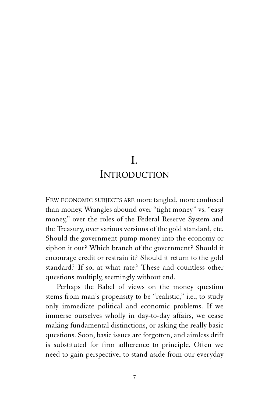# I. **INTRODUCTION**

FEW ECONOMIC SUBJECTS ARE more tangled, more confused than money. Wrangles abound over "tight money" vs. "easy money," over the roles of the Federal Reserve System and the Treasury, over various versions of the gold standard, etc. Should the government pump money into the economy or siphon it out? Which branch of the government? Should it encourage credit or restrain it? Should it return to the gold standard? If so, at what rate? These and countless other questions multiply, seemingly without end.

Perhaps the Babel of views on the money question stems from man's propensity to be "realistic," i.e., to study only immediate political and economic problems. If we immerse ourselves wholly in day-to-day affairs, we cease making fundamental distinctions, or asking the really basic questions. Soon, basic issues are forgotten, and aimless drift is substituted for firm adherence to principle. Often we need to gain perspective, to stand aside from our everyday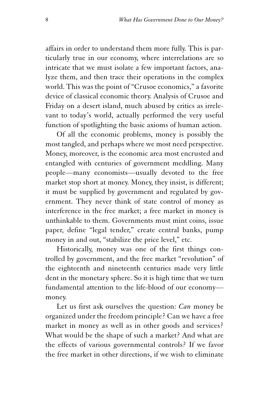affairs in order to understand them more fully. This is particularly true in our economy, where interrelations are so intricate that we must isolate a few important factors, analyze them, and then trace their operations in the complex world. This was the point of "Crusoe economics," a favorite device of classical economic theory. Analysis of Crusoe and Friday on a desert island, much abused by critics as irrelevant to today's world, actually performed the very useful function of spotlighting the basic axioms of human action.

Of all the economic problems, money is possibly the most tangled, and perhaps where we most need perspective. Money, moreover, is the economic area most encrusted and entangled with centuries of government meddling. Many people—many economists—usually devoted to the free market stop short at money. Money, they insist, is different; it must be supplied by government and regulated by government. They never think of state control of money as interference in the free market; a free market in money is unthinkable to them. Governments must mint coins, issue paper, define "legal tender," create central banks, pump money in and out, "stabilize the price level," etc.

Historically, money was one of the first things controlled by government, and the free market "revolution" of the eighteenth and nineteenth centuries made very little dent in the monetary sphere. So it is high time that we turn fundamental attention to the life-blood of our economy money.

Let us first ask ourselves the question: *Can* money be organized under the freedom principle? Can we have a free market in money as well as in other goods and services? What would be the shape of such a market? And what are the effects of various governmental controls? If we favor the free market in other directions, if we wish to eliminate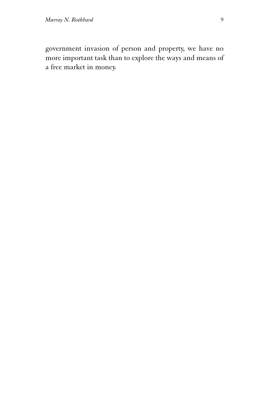government invasion of person and property, we have no more important task than to explore the ways and means of a free market in money.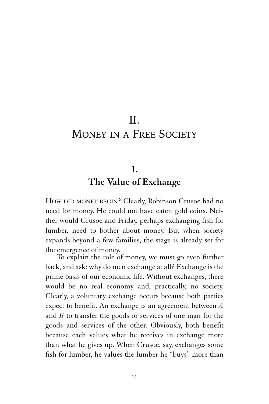## II. MONEY IN A FREE SOCIETY

## **1. The Value of Exchange**

HOW DID MONEY BEGIN? Clearly, Robinson Crusoe had no need for money. He could not have eaten gold coins. Neither would Crusoe and Friday, perhaps exchanging fish for lumber, need to bother about money. But when society expands beyond a few families, the stage is already set for the emergence of money.

To explain the role of money, we must go even further back, and ask: why do men exchange at all? Exchange is the prime basis of our economic life. Without exchanges, there would be no real economy and, practically, no society. Clearly, a voluntary exchange occurs because both parties expect to benefit. An exchange is an agreement between *A* and *B* to transfer the goods or services of one man for the goods and services of the other. Obviously, both benefit because each values what he receives in exchange more than what he gives up. When Crusoe, say, exchanges some fish for lumber, he values the lumber he "buys" more than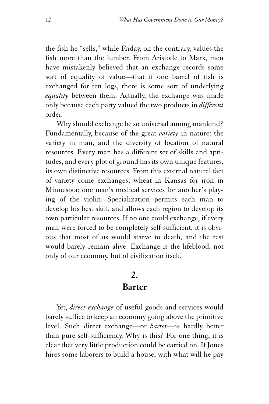the fish he "sells," while Friday, on the contrary, values the fish more than the lumber. From Aristotle to Marx, men have mistakenly believed that an exchange records some sort of equality of value—that if one barrel of fish is exchanged for ten logs, there is some sort of underlying *equality* between them. Actually, the exchange was made only because each party valued the two products in *different* order.

Why should exchange be so universal among mankind? Fundamentally, because of the great *variety* in nature: the variety in man, and the diversity of location of natural resources. Every man has a different set of skills and aptitudes, and every plot of ground has its own unique features, its own distinctive resources. From this external natural fact of variety come exchanges; wheat in Kansas for iron in Minnesota; one man's medical services for another's playing of the violin. Specialization permits each man to develop his best skill, and allows each region to develop its own particular resources. If no one could exchange, if every man were forced to be completely self-sufficient, it is obvious that most of us would starve to death, and the rest would barely remain alive. Exchange is the lifeblood, not only of our economy, but of civilization itself.

#### **2.**

#### **Barter**

Yet, *direct exchange* of useful goods and services would barely suffice to keep an economy going above the primitive level. Such direct exchange—or *barter*—is hardly better than pure self-sufficiency. Why is this? For one thing, it is clear that very little production could be carried on. If Jones hires some laborers to build a house, with what will he pay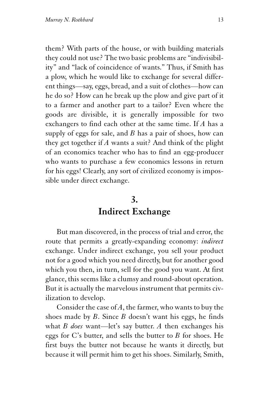them? With parts of the house, or with building materials they could not use? The two basic problems are "indivisibility" and "lack of coincidence of wants." Thus, if Smith has a plow, which he would like to exchange for several different things—say, eggs, bread, and a suit of clothes—how can he do so? How can he break up the plow and give part of it to a farmer and another part to a tailor? Even where the goods are divisible, it is generally impossible for two exchangers to find each other at the same time. If *A* has a supply of eggs for sale, and *B* has a pair of shoes, how can they get together if *A* wants a suit? And think of the plight of an economics teacher who has to find an egg-producer who wants to purchase a few economics lessons in return for his eggs! Clearly, any sort of civilized economy is impossible under direct exchange.

# **3.**

## **Indirect Exchange**

But man discovered, in the process of trial and error, the route that permits a greatly-expanding economy: *indirect* exchange. Under indirect exchange, you sell your product not for a good which you need directly, but for another good which you then, in turn, sell for the good you want. At first glance, this seems like a clumsy and round-about operation. But it is actually the marvelous instrument that permits civilization to develop.

Consider the case of *A*, the farmer, who wants to buy the shoes made by *B*. Since *B* doesn't want his eggs, he finds what *B does* want—let's say butter. *A* then exchanges his eggs for C's butter, and sells the butter to *B* for shoes. He first buys the butter not because he wants it directly, but because it will permit him to get his shoes. Similarly, Smith,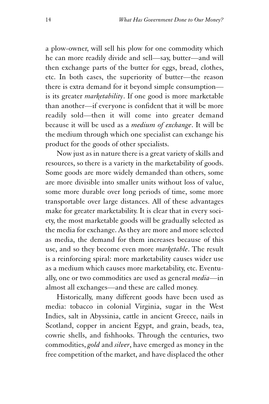a plow-owner, will sell his plow for one commodity which he can more readily divide and sell—say, butter—and will then exchange parts of the butter for eggs, bread, clothes, etc. In both cases, the superiority of butter—the reason there is extra demand for it beyond simple consumption is its greater *marketability*. If one good is more marketable than another—if everyone is confident that it will be more readily sold—then it will come into greater demand because it will be used as a *medium of exchange*. It will be the medium through which one specialist can exchange his product for the goods of other specialists.

Now just as in nature there is a great variety of skills and resources, so there is a variety in the marketability of goods. Some goods are more widely demanded than others, some are more divisible into smaller units without loss of value, some more durable over long periods of time, some more transportable over large distances. All of these advantages make for greater marketability. It is clear that in every society, the most marketable goods will be gradually selected as the media for exchange. As they are more and more selected as media, the demand for them increases because of this use, and so they become even more *marketable*. The result is a reinforcing spiral: more marketability causes wider use as a medium which causes more marketability, etc. Eventually, one or two commodities are used as general *media*—in almost all exchanges—and these are called money.

Historically, many different goods have been used as media: tobacco in colonial Virginia, sugar in the West Indies, salt in Abyssinia, cattle in ancient Greece, nails in Scotland, copper in ancient Egypt, and grain, beads, tea, cowrie shells, and fishhooks. Through the centuries, two commodities, *gold* and *silver*, have emerged as money in the free competition of the market, and have displaced the other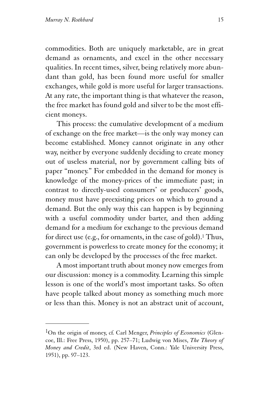commodities. Both are uniquely marketable, are in great demand as ornaments, and excel in the other necessary qualities. In recent times, silver, being relatively more abundant than gold, has been found more useful for smaller exchanges, while gold is more useful for larger transactions. At any rate, the important thing is that whatever the reason, the free market has found gold and silver to be the most efficient moneys.

This process: the cumulative development of a medium of exchange on the free market—is the only way money can become established. Money cannot originate in any other way, neither by everyone suddenly deciding to create money out of useless material, nor by government calling bits of paper "money." For embedded in the demand for money is knowledge of the money-prices of the immediate past; in contrast to directly-used consumers' or producers' goods, money must have preexisting prices on which to ground a demand. But the only way this can happen is by beginning with a useful commodity under barter, and then adding demand for a medium for exchange to the previous demand for direct use (e.g., for ornaments, in the case of gold).1 Thus, government is powerless to create money for the economy; it can only be developed by the processes of the free market.

A most important truth about money now emerges from our discussion: money is a commodity. Learning this simple lesson is one of the world's most important tasks. So often have people talked about money as something much more or less than this. Money is not an abstract unit of account,

<sup>1</sup>On the origin of money, cf. Carl Menger, *Principles of Economics* (Glencoe, Ill.: Free Press, 1950), pp. 257–71; Ludwig von Mises, *The Theory of Money and Credit*, 3rd ed. (New Haven, Conn.: Yale University Press, 1951), pp. 97–123.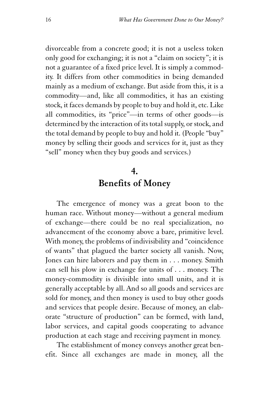divorceable from a concrete good; it is not a useless token only good for exchanging; it is not a "claim on society"; it is not a guarantee of a fixed price level. It is simply a commodity. It differs from other commodities in being demanded mainly as a medium of exchange. But aside from this, it is a commodity—and, like all commodities, it has an existing stock, it faces demands by people to buy and hold it, etc. Like all commodities, its "price"—in terms of other goods—is determined by the interaction of its total supply, or stock, and the total demand by people to buy and hold it. (People "buy" money by selling their goods and services for it, just as they "sell" money when they buy goods and services.)

#### **4.**

#### **Benefits of Money**

The emergence of money was a great boon to the human race. Without money—without a general medium of exchange—there could be no real specialization, no advancement of the economy above a bare, primitive level. With money, the problems of indivisibility and "coincidence of wants" that plagued the barter society all vanish. Now, Jones can hire laborers and pay them in . . . money. Smith can sell his plow in exchange for units of . . . money. The money-commodity is divisible into small units, and it is generally acceptable by all. And so all goods and services are sold for money, and then money is used to buy other goods and services that people desire. Because of money, an elaborate "structure of production" can be formed, with land, labor services, and capital goods cooperating to advance production at each stage and receiving payment in money.

The establishment of money conveys another great benefit. Since all exchanges are made in money, all the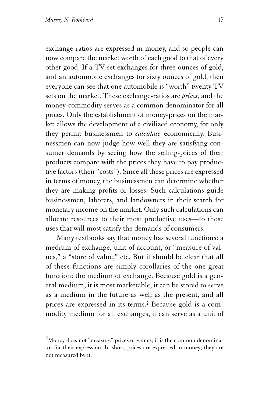exchange-ratios are expressed in money, and so people can now compare the market worth of each good to that of every other good. If a TV set exchanges for three ounces of gold, and an automobile exchanges for sixty ounces of gold, then everyone can see that one automobile is "worth" twenty TV sets on the market. These exchange-ratios are *prices*, and the money-commodity serves as a common denominator for all prices. Only the establishment of money-prices on the market allows the development of a civilized economy, for only they permit businessmen to *calculate* economically. Businessmen can now judge how well they are satisfying consumer demands by seeing how the selling-prices of their products compare with the prices they have to pay productive factors (their "costs"). Since all these prices are expressed in terms of money, the businessmen can determine whether they are making profits or losses. Such calculations guide businessmen, laborers, and landowners in their search for monetary income on the market. Only such calculations can allocate resources to their most productive uses—to those uses that will most satisfy the demands of consumers.

Many textbooks say that money has several functions: a medium of exchange, unit of account, or "measure of values," a "store of value," etc. But it should be clear that all of these functions are simply corollaries of the one great function: the medium of exchange. Because gold is a general medium, it is most marketable, it can be stored to serve as a medium in the future as well as the present, and all prices are expressed in its terms.2 Because gold is a commodity medium for all exchanges, it can serve as a unit of

<sup>&</sup>lt;sup>2</sup>Money does not "measure" prices or values; it is the common denominator for their expression. In short, prices are expressed in money; they are not measured by it.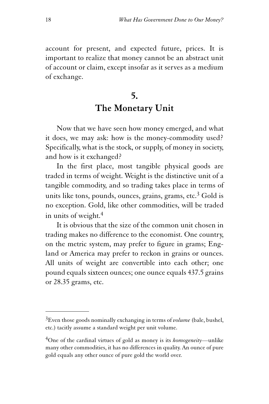account for present, and expected future, prices. It is important to realize that money cannot be an abstract unit of account or claim, except insofar as it serves as a medium of exchange.

## **5. The Monetary Unit**

Now that we have seen how money emerged, and what it does, we may ask: how is the money-commodity used? Specifically, what is the stock, or supply, of money in society, and how is it exchanged?

In the first place, most tangible physical goods are traded in terms of weight. Weight is the distinctive unit of a tangible commodity, and so trading takes place in terms of units like tons, pounds, ounces, grains, grams, etc.<sup>3</sup> Gold is no exception. Gold, like other commodities, will be traded in units of weight.<sup>4</sup>

It is obvious that the size of the common unit chosen in trading makes no difference to the economist. One country, on the metric system, may prefer to figure in grams; England or America may prefer to reckon in grains or ounces. All units of weight are convertible into each other; one pound equals sixteen ounces; one ounce equals 437.5 grains or 28.35 grams, etc.

<sup>3</sup>Even those goods nominally exchanging in terms of *volume* (bale, bushel, etc.) tacitly assume a standard weight per unit volume.

<sup>4</sup>One of the cardinal virtues of gold as money is its *homogeneity*—unlike many other commodities, it has no differences in quality. An ounce of pure gold equals any other ounce of pure gold the world over.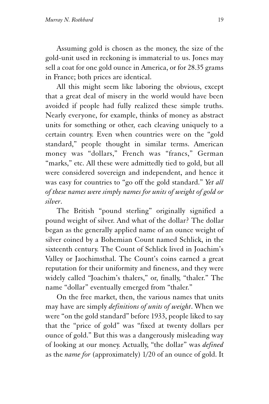Assuming gold is chosen as the money, the size of the gold-unit used in reckoning is immaterial to us. Jones may sell a coat for one gold ounce in America, or for 28.35 grams in France; both prices are identical.

All this might seem like laboring the obvious, except that a great deal of misery in the world would have been avoided if people had fully realized these simple truths. Nearly everyone, for example, thinks of money as abstract units for something or other, each cleaving uniquely to a certain country. Even when countries were on the "gold standard," people thought in similar terms. American money was "dollars," French was "francs," German "marks," etc. All these were admittedly tied to gold, but all were considered sovereign and independent, and hence it was easy for countries to "go off the gold standard." *Yet all of these names were simply names for units of weight of gold or silver*.

The British "pound sterling" originally signified a pound weight of silver. And what of the dollar? The dollar began as the generally applied name of an ounce weight of silver coined by a Bohemian Count named Schlick, in the sixteenth century. The Count of Schlick lived in Joachim's Valley or Jaochimsthal. The Count's coins earned a great reputation for their uniformity and fineness, and they were widely called "Joachim's thalers," or, finally, "thaler." The name "dollar" eventually emerged from "thaler."

On the free market, then, the various names that units may have are simply *definitions of units of weight*. When we were "on the gold standard" before 1933, people liked to say that the "price of gold" was "fixed at twenty dollars per ounce of gold." But this was a dangerously misleading way of looking at our money. Actually, "the dollar" was *defined* as the *name for* (approximately) 1/20 of an ounce of gold. It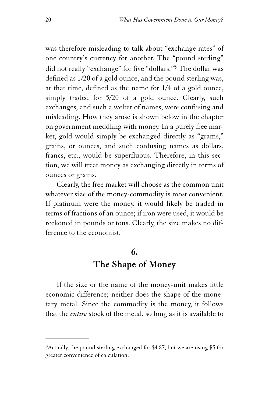was therefore misleading to talk about "exchange rates" of one country's currency for another. The "pound sterling" did not really "exchange" for five "dollars."5 The dollar was defined as 1/20 of a gold ounce, and the pound sterling was, at that time, defined as the name for 1/4 of a gold ounce, simply traded for 5/20 of a gold ounce. Clearly, such exchanges, and such a welter of names, were confusing and misleading. How they arose is shown below in the chapter on government meddling with money. In a purely free market, gold would simply be exchanged directly as "grams," grains, or ounces, and such confusing names as dollars, francs, etc., would be superfluous. Therefore, in this section, we will treat money as exchanging directly in terms of ounces or grams.

Clearly, the free market will choose as the common unit whatever size of the money-commodity is most convenient. If platinum were the money, it would likely be traded in terms of fractions of an ounce; if iron were used, it would be reckoned in pounds or tons. Clearly, the size makes no difference to the economist.

#### **6.**

### **The Shape of Money**

If the size or the name of the money-unit makes little economic difference; neither does the shape of the monetary metal. Since the commodity is the money, it follows that the *entire* stock of the metal, so long as it is available to

<sup>5</sup>Actually, the pound sterling exchanged for \$4.87, but we are using \$5 for greater convenience of calculation.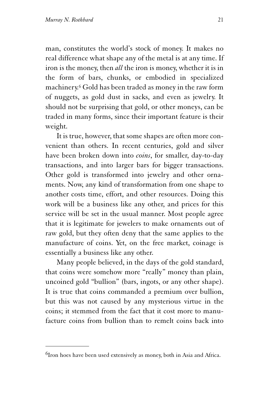man, constitutes the world's stock of money. It makes no real difference what shape any of the metal is at any time. If iron is the money, then *all* the iron is money, whether it is in the form of bars, chunks, or embodied in specialized machinery.6 Gold has been traded as money in the raw form of nuggets, as gold dust in sacks, and even as jewelry. It should not be surprising that gold, or other moneys, can be traded in many forms, since their important feature is their weight.

It is true, however, that some shapes are often more convenient than others. In recent centuries, gold and silver have been broken down into *coins*, for smaller, day-to-day transactions, and into larger bars for bigger transactions. Other gold is transformed into jewelry and other ornaments. Now, any kind of transformation from one shape to another costs time, effort, and other resources. Doing this work will be a business like any other, and prices for this service will be set in the usual manner. Most people agree that it is legitimate for jewelers to make ornaments out of raw gold, but they often deny that the same applies to the manufacture of coins. Yet, on the free market, coinage is essentially a business like any other.

Many people believed, in the days of the gold standard, that coins were somehow more "really" money than plain, uncoined gold "bullion" (bars, ingots, or any other shape). It is true that coins commanded a premium over bullion, but this was not caused by any mysterious virtue in the coins; it stemmed from the fact that it cost more to manufacture coins from bullion than to remelt coins back into

<sup>&</sup>lt;sup>6</sup>Iron hoes have been used extensively as money, both in Asia and Africa.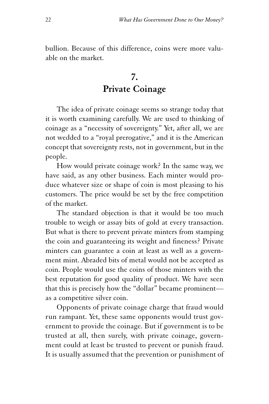bullion. Because of this difference, coins were more valuable on the market.

## **7. Private Coinage**

The idea of private coinage seems so strange today that it is worth examining carefully. We are used to thinking of coinage as a "necessity of sovereignty." Yet, after all, we are not wedded to a "royal prerogative," and it is the American concept that sovereignty rests, not in government, but in the people.

How would private coinage work? In the same way, we have said, as any other business. Each minter would produce whatever size or shape of coin is most pleasing to his customers. The price would be set by the free competition of the market.

The standard objection is that it would be too much trouble to weigh or assay bits of gold at every transaction. But what is there to prevent private minters from stamping the coin and guaranteeing its weight and fineness? Private minters can guarantee a coin at least as well as a government mint. Abraded bits of metal would not be accepted as coin. People would use the coins of those minters with the best reputation for good quality of product. We have seen that this is precisely how the "dollar" became prominent as a competitive silver coin.

Opponents of private coinage charge that fraud would run rampant. Yet, these same opponents would trust government to provide the coinage. But if government is to be trusted at all, then surely, with private coinage, government could at least be trusted to prevent or punish fraud. It is usually assumed that the prevention or punishment of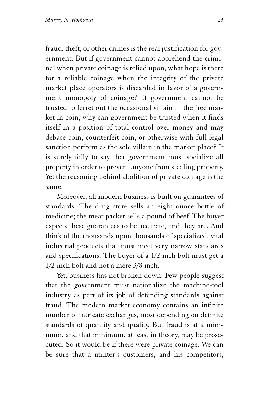fraud, theft, or other crimes is the real justification for government. But if government cannot apprehend the criminal when private coinage is relied upon, what hope is there for a reliable coinage when the integrity of the private market place operators is discarded in favor of a government monopoly of coinage? If government cannot be trusted to ferret out the occasional villain in the free market in coin, why can government be trusted when it finds itself in a position of total control over money and may debase coin, counterfeit coin, or otherwise with full legal sanction perform as the sole villain in the market place? It is surely folly to say that government must socialize all property in order to prevent anyone from stealing property. Yet the reasoning behind abolition of private coinage is the same.

Moreover, all modern business is built on guarantees of standards. The drug store sells an eight ounce bottle of medicine; the meat packer sells a pound of beef. The buyer expects these guarantees to be accurate, and they are. And think of the thousands upon thousands of specialized, vital industrial products that must meet very narrow standards and specifications. The buyer of a 1/2 inch bolt must get a 1/2 inch bolt and not a mere 3/8 inch.

Yet, business has not broken down. Few people suggest that the government must nationalize the machine-tool industry as part of its job of defending standards against fraud. The modern market economy contains an infinite number of intricate exchanges, most depending on definite standards of quantity and quality. But fraud is at a minimum, and that minimum, at least in theory, may be prosecuted. So it would be if there were private coinage. We can be sure that a minter's customers, and his competitors,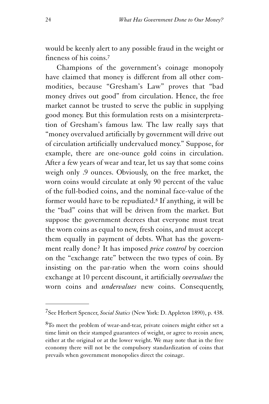would be keenly alert to any possible fraud in the weight or fineness of his coins.7

Champions of the government's coinage monopoly have claimed that money is different from all other commodities, because "Gresham's Law" proves that "bad money drives out good" from circulation. Hence, the free market cannot be trusted to serve the public in supplying good money. But this formulation rests on a misinterpretation of Gresham's famous law. The law really says that "money overvalued artificially by government will drive out of circulation artificially undervalued money." Suppose, for example, there are one-ounce gold coins in circulation. After a few years of wear and tear, let us say that some coins weigh only .9 ounces. Obviously, on the free market, the worn coins would circulate at only 90 percent of the value of the full-bodied coins, and the nominal face-value of the former would have to be repudiated.8 If anything, it will be the "bad" coins that will be driven from the market. But suppose the government decrees that everyone must treat the worn coins as equal to new, fresh coins, and must accept them equally in payment of debts. What has the government really done? It has imposed *price control* by coercion on the "exchange rate" between the two types of coin. By insisting on the par-ratio when the worn coins should exchange at 10 percent discount, it artificially *overvalues* the worn coins and *undervalues* new coins. Consequently,

<sup>7</sup>See Herbert Spencer, *Social Statics* (New York: D. Appleton 1890), p. 438.

<sup>&</sup>lt;sup>8</sup>To meet the problem of wear-and-tear, private coiners might either set a time limit on their stamped guarantees of weight, or agree to recoin anew, either at the original or at the lower weight. We may note that in the free economy there will not be the compulsory standardization of coins that prevails when government monopolies direct the coinage.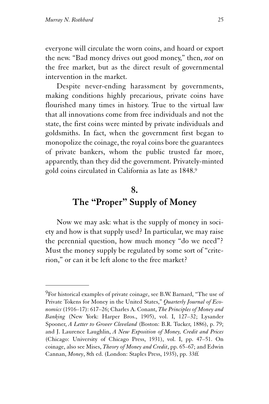everyone will circulate the worn coins, and hoard or export the new. "Bad money drives out good money," then, *not* on the free market, but as the direct result of governmental intervention in the market.

Despite never-ending harassment by governments, making conditions highly precarious, private coins have flourished many times in history. True to the virtual law that all innovations come from free individuals and not the state, the first coins were minted by private individuals and goldsmiths. In fact, when the government first began to monopolize the coinage, the royal coins bore the guarantees of private bankers, whom the public trusted far more, apparently, than they did the government. Privately-minted gold coins circulated in California as late as 1848.9

## **8. The "Proper" Supply of Money**

Now we may ask: what is the supply of money in society and how is that supply used? In particular, we may raise the perennial question, how much money "do we need"? Must the money supply be regulated by some sort of "criterion," or can it be left alone to the free market?

 $^{9}$ For historical examples of private coinage, see B.W. Barnard, "The use of Private Tokens for Money in the United States," *Quarterly Journal of Economics* (1916–17): 617–26; Charles A. Conant, *The Principles of Money and Banking* (New York: Harper Bros., 1905), vol. I, 127–32; Lysander Spooner, *A Letter to Grover Cleveland* (Boston: B.R. Tucker, 1886), p. 79; and J. Laurence Laughlin, *A New Exposition of Money, Credit and Prices* (Chicago: University of Chicago Press, 1931), vol. I, pp. 47–51. On coinage, also see Mises, *Theory of Money and Credit*, pp. 65–67; and Edwin Cannan, *Money*, 8th ed. (London: Staples Press, 1935), pp. 33ff.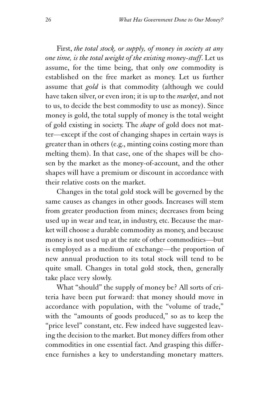First, *the total stock, or supply, of money in society at any one time, is the total weight of the existing money-stuff*. Let us assume, for the time being, that only *one* commodity is established on the free market as money. Let us further assume that *gold* is that commodity (although we could have taken silver, or even iron; it is up to the *market*, and not to us, to decide the best commodity to use as money). Since money is gold, the total supply of money is the total weight of gold existing in society. The *shape* of gold does not matter—except if the cost of changing shapes in certain ways is greater than in others (e.g., minting coins costing more than melting them). In that case, one of the shapes will be chosen by the market as the money-of-account, and the other shapes will have a premium or discount in accordance with their relative costs on the market.

Changes in the total gold stock will be governed by the same causes as changes in other goods. Increases will stem from greater production from mines; decreases from being used up in wear and tear, in industry, etc. Because the market will choose a durable commodity as money, and because money is not used up at the rate of other commodities—but is employed as a medium of exchange—the proportion of new annual production to its total stock will tend to be quite small. Changes in total gold stock, then, generally take place very slowly.

What "should" the supply of money be? All sorts of criteria have been put forward: that money should move in accordance with population, with the "volume of trade," with the "amounts of goods produced," so as to keep the "price level" constant, etc. Few indeed have suggested leaving the decision to the market. But money differs from other commodities in one essential fact. And grasping this difference furnishes a key to understanding monetary matters.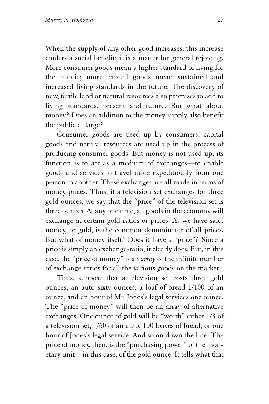When the supply of any other good increases, this increase confers a social benefit; it is a matter for general rejoicing. More consumer goods mean a higher standard of living for the public; more capital goods mean sustained and increased living standards in the future. The discovery of new, fertile land or natural resources also promises to add to living standards, present and future. But what about money? Does an addition to the money supply also benefit the public at large?

Consumer goods are used up by consumers; capital goods and natural resources are used up in the process of producing consumer goods. But money is not used up; its function is to act as a medium of exchanges—to enable goods and services to travel more expeditiously from one person to another. These exchanges are all made in terms of money prices. Thus, if a television set exchanges for three gold ounces, we say that the "price" of the television set is three ounces. At any one time, all goods in the economy will exchange at certain gold-ratios or prices. As we have said, money, or gold, is the common denominator of all prices. But what of money itself? Does it have a "price"? Since a price is simply an exchange-ratio, it clearly does. But, in this case, the "price of money" is an *array* of the infinite number of exchange-ratios for all the various goods on the market.

Thus, suppose that a television set costs three gold ounces, an auto sixty ounces, a loaf of bread 1/100 of an ounce, and an hour of Mr. Jones's legal services one ounce. The "price of money" will then be an array of alternative exchanges. One ounce of gold will be "worth" either 1/3 of a television set, 1/60 of an auto, 100 loaves of bread, or one hour of Jones's legal service. And so on down the line. The price of money, then, is the "purchasing power" of the monetary unit—in this case, of the gold ounce. It tells what that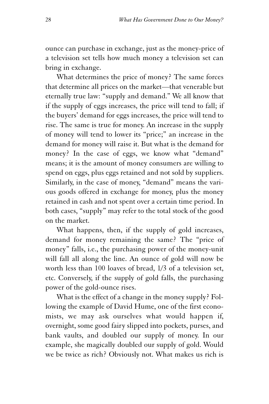ounce can purchase in exchange, just as the money-price of a television set tells how much money a television set can bring in exchange.

What determines the price of money? The same forces that determine all prices on the market—that venerable but eternally true law: "supply and demand." We all know that if the supply of eggs increases, the price will tend to fall; if the buyers' demand for eggs increases, the price will tend to rise. The same is true for money. An increase in the supply of money will tend to lower its "price;" an increase in the demand for money will raise it. But what is the demand for money? In the case of eggs, we know what "demand" means; it is the amount of money consumers are willing to spend on eggs, plus eggs retained and not sold by suppliers. Similarly, in the case of money, "demand" means the various goods offered in exchange for money, plus the money retained in cash and not spent over a certain time period. In both cases, "supply" may refer to the total stock of the good on the market.

What happens, then, if the supply of gold increases, demand for money remaining the same? The "price of money" falls, i.e., the purchasing power of the money-unit will fall all along the line. An ounce of gold will now be worth less than 100 loaves of bread, 1/3 of a television set, etc. Conversely, if the supply of gold falls, the purchasing power of the gold-ounce rises.

What is the effect of a change in the money supply? Following the example of David Hume, one of the first economists, we may ask ourselves what would happen if, overnight, some good fairy slipped into pockets, purses, and bank vaults, and doubled our supply of money. In our example, she magically doubled our supply of gold. Would we be twice as rich? Obviously not. What makes us rich is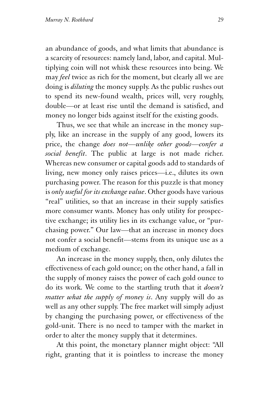an abundance of goods, and what limits that abundance is a scarcity of resources: namely land, labor, and capital. Multiplying coin will not whisk these resources into being. We may *feel* twice as rich for the moment, but clearly all we are doing is *diluting* the money supply. As the public rushes out to spend its new-found wealth, prices will, very roughly, double—or at least rise until the demand is satisfied, and money no longer bids against itself for the existing goods.

Thus, we see that while an increase in the money supply, like an increase in the supply of any good, lowers its price, the change *does not—unlike other goods—confer a social benefit*. The public at large is not made richer. Whereas new consumer or capital goods add to standards of living, new money only raises prices—i.e., dilutes its own purchasing power. The reason for this puzzle is that money is *only useful for its exchange value*. Other goods have various "real" utilities, so that an increase in their supply satisfies more consumer wants. Money has only utility for prospective exchange; its utility lies in its exchange value, or "purchasing power." Our law—that an increase in money does not confer a social benefit—stems from its unique use as a medium of exchange.

An increase in the money supply, then, only dilutes the effectiveness of each gold ounce; on the other hand, a fall in the supply of money raises the power of each gold ounce to do its work. We come to the startling truth that it *doesn't matter what the supply of money is*. Any supply will do as well as any other supply. The free market will simply adjust by changing the purchasing power, or effectiveness of the gold-unit. There is no need to tamper with the market in order to alter the money supply that it determines.

At this point, the monetary planner might object: "All right, granting that it is pointless to increase the money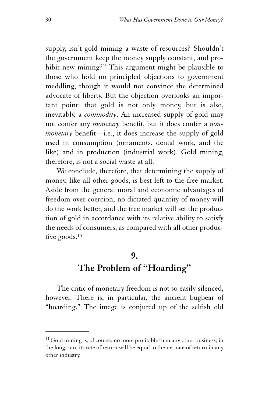supply, isn't gold mining a waste of resources? Shouldn't the government keep the money supply constant, and prohibit new mining?" This argument might be plausible to those who hold no principled objections to government meddling, though it would not convince the determined advocate of liberty. But the objection overlooks an important point: that gold is not only money, but is also, inevitably, a *commodity*. An increased supply of gold may not confer any *monetary* benefit, but it does confer a *nonmonetary* benefit—i.e., it does increase the supply of gold used in consumption (ornaments, dental work, and the like) and in production (industrial work). Gold mining, therefore, is not a social waste at all.

We conclude, therefore, that determining the supply of money, like all other goods, is best left to the free market. Aside from the general moral and economic advantages of freedom over coercion, no dictated quantity of money will do the work better, and the free market will set the production of gold in accordance with its relative ability to satisfy the needs of consumers, as compared with all other productive goods.10

## **9. The Problem of "Hoarding"**

The critic of monetary freedom is not so easily silenced, however. There is, in particular, the ancient bugbear of "hoarding." The image is conjured up of the selfish old

 $10$ Gold mining is, of course, no more profitable than any other business; in the long-run, its rate of return will be equal to the net rate of return in any other industry.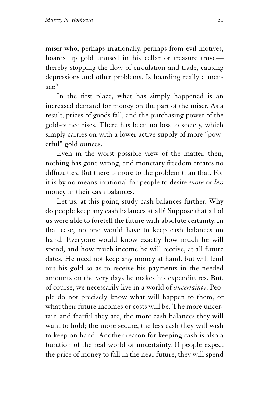miser who, perhaps irrationally, perhaps from evil motives, hoards up gold unused in his cellar or treasure trove thereby stopping the flow of circulation and trade, causing depressions and other problems. Is hoarding really a menace?

In the first place, what has simply happened is an increased demand for money on the part of the miser. As a result, prices of goods fall, and the purchasing power of the gold-ounce rises. There has been no loss to society, which simply carries on with a lower active supply of more "powerful" gold ounces.

Even in the worst possible view of the matter, then, nothing has gone wrong, and monetary freedom creates no difficulties. But there is more to the problem than that. For it is by no means irrational for people to desire *more* or *less* money in their cash balances.

Let us, at this point, study cash balances further. Why do people keep any cash balances at all? Suppose that all of us were able to foretell the future with absolute certainty. In that case, no one would have to keep cash balances on hand. Everyone would know exactly how much he will spend, and how much income he will receive, at all future dates. He need not keep any money at hand, but will lend out his gold so as to receive his payments in the needed amounts on the very days he makes his expenditures. But, of course, we necessarily live in a world of *uncertainty*. People do not precisely know what will happen to them, or what their future incomes or costs will be. The more uncertain and fearful they are, the more cash balances they will want to hold; the more secure, the less cash they will wish to keep on hand. Another reason for keeping cash is also a function of the real world of uncertainty. If people expect the price of money to fall in the near future, they will spend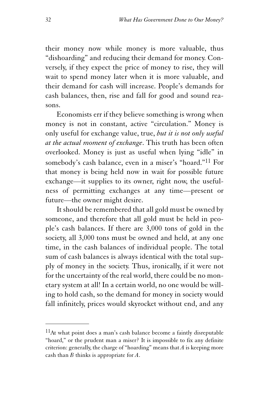their money now while money is more valuable, thus "dishoarding" and reducing their demand for money. Conversely, if they expect the price of money to rise, they will wait to spend money later when it is more valuable, and their demand for cash will increase. People's demands for cash balances, then, rise and fall for good and sound reasons.

Economists err if they believe something is wrong when money is not in constant, active "circulation." Money is only useful for exchange value, true, *but it is not only useful at the actual moment of exchange*. This truth has been often overlooked. Money is just as useful when lying "idle" in somebody's cash balance, even in a miser's "hoard."11 For that money is being held now in wait for possible future exchange—it supplies to its owner, right now, the usefulness of permitting exchanges at any time—present or future—the owner might desire.

It should be remembered that all gold must be owned by someone, and therefore that all gold must be held in people's cash balances. If there are 3,000 tons of gold in the society, all 3,000 tons must be owned and held, at any one time, in the cash balances of individual people. The total sum of cash balances is always identical with the total supply of money in the society. Thus, ironically, if it were not for the uncertainty of the real world, there could be no monetary system at all! In a certain world, no one would be willing to hold cash, so the demand for money in society would fall infinitely, prices would skyrocket without end, and any

<sup>&</sup>lt;sup>11</sup>At what point does a man's cash balance become a faintly disreputable "hoard," or the prudent man a miser? It is impossible to fix any definite criterion: generally, the charge of "hoarding" means that *A* is keeping more cash than *B* thinks is appropriate for *A*.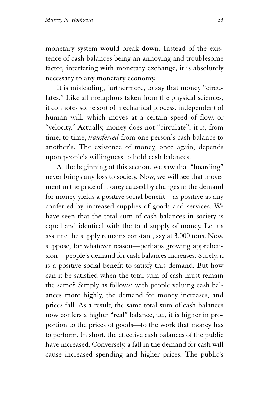monetary system would break down. Instead of the existence of cash balances being an annoying and troublesome factor, interfering with monetary exchange, it is absolutely necessary to any monetary economy.

It is misleading, furthermore, to say that money "circulates." Like all metaphors taken from the physical sciences, it connotes some sort of mechanical process, independent of human will, which moves at a certain speed of flow, or "velocity." Actually, money does not "circulate"; it is, from time, to time, *transferred* from one person's cash balance to another's. The existence of money, once again, depends upon people's willingness to hold cash balances.

At the beginning of this section, we saw that "hoarding" never brings any loss to society. Now, we will see that movement in the price of money caused by changes in the demand for money yields a positive social benefit—as positive as any conferred by increased supplies of goods and services. We have seen that the total sum of cash balances in society is equal and identical with the total supply of money. Let us assume the supply remains constant, say at 3,000 tons. Now, suppose, for whatever reason—perhaps growing apprehension—people's demand for cash balances increases. Surely, it is a positive social benefit to satisfy this demand. But how can it be satisfied when the total sum of cash must remain the same? Simply as follows: with people valuing cash balances more highly, the demand for money increases, and prices fall. As a result, the same total sum of cash balances now confers a higher "real" balance, i.e., it is higher in proportion to the prices of goods—to the work that money has to perform. In short, the effective cash balances of the public have increased. Conversely, a fall in the demand for cash will cause increased spending and higher prices. The public's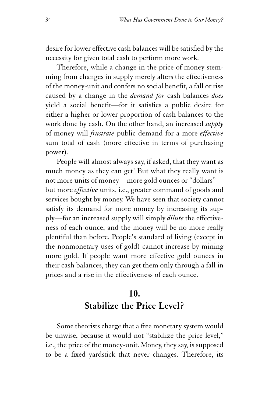desire for lower effective cash balances will be satisfied by the necessity for given total cash to perform more work.

Therefore, while a change in the price of money stemming from changes in supply merely alters the effectiveness of the money-unit and confers no social benefit, a fall or rise caused by a change in the *demand for* cash balances *does* yield a social benefit—for it satisfies a public desire for either a higher or lower proportion of cash balances to the work done by cash. On the other hand, an increased *supply* of money will *frustrate* public demand for a more *effective* sum total of cash (more effective in terms of purchasing power).

People will almost always say, if asked, that they want as much money as they can get! But what they really want is not more units of money—more gold ounces or "dollars" but more *effective* units, i.e., greater command of goods and services bought by money. We have seen that society cannot satisfy its demand for more money by increasing its supply—for an increased supply will simply *dilute* the effectiveness of each ounce, and the money will be no more really plentiful than before. People's standard of living (except in the nonmonetary uses of gold) cannot increase by mining more gold. If people want more effective gold ounces in their cash balances, they can get them only through a fall in prices and a rise in the effectiveness of each ounce.

## **10. Stabilize the Price Level?**

Some theorists charge that a free monetary system would be unwise, because it would not "stabilize the price level," i.e., the price of the money-unit. Money, they say, is supposed to be a fixed yardstick that never changes. Therefore, its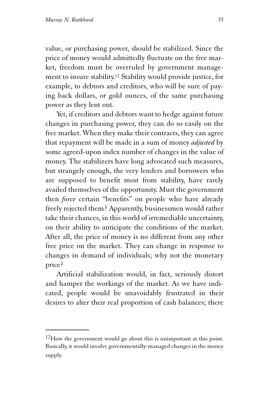value, or purchasing power, should be stabilized. Since the price of money would admittedly fluctuate on the free market, freedom must be overruled by government management to insure stability.12 Stability would provide justice, for example, to debtors and creditors, who will be sure of paying back dollars, or gold ounces, of the same purchasing power as they lent out.

Yet, if creditors and debtors want to hedge against future changes in purchasing power, they can do so easily on the free market. When they make their contracts, they can agree that repayment will be made in a sum of money *adjusted* by some agreed-upon index number of changes in the value of money. The stabilizers have long advocated such measures, but strangely enough, the very lenders and borrowers who are supposed to benefit most from stability, have rarely availed themselves of the opportunity. Must the government then *force* certain "benefits" on people who have already freely rejected them? Apparently, businessmen would rather take their chances, in this world of irremediable uncertainty, on their ability to anticipate the conditions of the market. After all, the price of money is no different from any other free price on the market. They can change in response to changes in demand of individuals; why not the monetary price?

Artificial stabilization would, in fact, seriously distort and hamper the workings of the market. As we have indicated, people would be unavoidably frustrated in their desires to alter their real proportion of cash balances; there

 $12$ How the government would go about this is unimportant at this point. Basically, it would involve governmentally-managed changes in the money supply.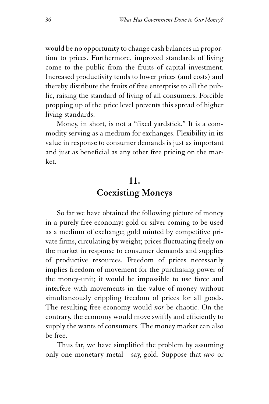would be no opportunity to change cash balances in proportion to prices. Furthermore, improved standards of living come to the public from the fruits of capital investment. Increased productivity tends to lower prices (and costs) and thereby distribute the fruits of free enterprise to all the public, raising the standard of living of all consumers. Forcible propping up of the price level prevents this spread of higher living standards.

Money, in short, is not a "fixed yardstick." It is a commodity serving as a medium for exchanges. Flexibility in its value in response to consumer demands is just as important and just as beneficial as any other free pricing on the market.

## **11. Coexisting Moneys**

So far we have obtained the following picture of money in a purely free economy: gold or silver coming to be used as a medium of exchange; gold minted by competitive private firms, circulating by weight; prices fluctuating freely on the market in response to consumer demands and supplies of productive resources. Freedom of prices necessarily implies freedom of movement for the purchasing power of the money-unit; it would be impossible to use force and interfere with movements in the value of money without simultaneously crippling freedom of prices for all goods. The resulting free economy would *not* be chaotic. On the contrary, the economy would move swiftly and efficiently to supply the wants of consumers. The money market can also be free.

Thus far, we have simplified the problem by assuming only one monetary metal—say, gold. Suppose that *two* or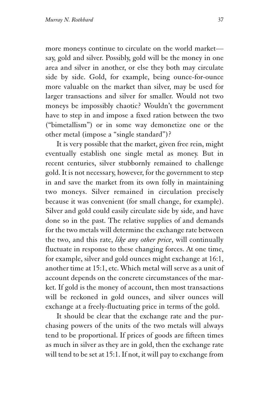more moneys continue to circulate on the world market say, gold and silver. Possibly, gold will be the money in one area and silver in another, or else they both may circulate side by side. Gold, for example, being ounce-for-ounce more valuable on the market than silver, may be used for larger transactions and silver for smaller. Would not two moneys be impossibly chaotic? Wouldn't the government have to step in and impose a fixed ration between the two ("bimetallism") or in some way demonetize one or the other metal (impose a "single standard")?

It is very possible that the market, given free rein, might eventually establish one single metal as money. But in recent centuries, silver stubbornly remained to challenge gold. It is not necessary, however, for the government to step in and save the market from its own folly in maintaining two moneys. Silver remained in circulation precisely because it was convenient (for small change, for example). Silver and gold could easily circulate side by side, and have done so in the past. The relative supplies of and demands for the two metals will determine the exchange rate between the two, and this rate, *like any other price*, will continually fluctuate in response to these changing forces. At one time, for example, silver and gold ounces might exchange at 16:1, another time at 15:1, etc. Which metal will serve as a unit of account depends on the concrete circumstances of the market. If gold is the money of account, then most transactions will be reckoned in gold ounces, and silver ounces will exchange at a freely-fluctuating price in terms of the gold.

It should be clear that the exchange rate and the purchasing powers of the units of the two metals will always tend to be proportional. If prices of goods are fifteen times as much in silver as they are in gold, then the exchange rate will tend to be set at 15:1. If not, it will pay to exchange from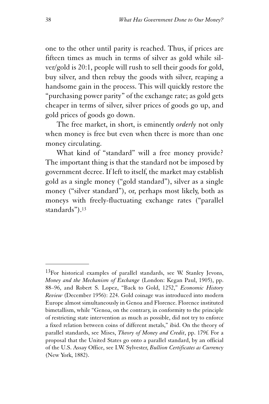one to the other until parity is reached. Thus, if prices are fifteen times as much in terms of silver as gold while silver/gold is 20:1, people will rush to sell their goods for gold, buy silver, and then rebuy the goods with silver, reaping a handsome gain in the process. This will quickly restore the "purchasing power parity" of the exchange rate; as gold gets cheaper in terms of silver, silver prices of goods go up, and gold prices of goods go down.

The free market, in short, is eminently *orderly* not only when money is free but even when there is more than one money circulating.

What kind of "standard" will a free money provide? The important thing is that the standard not be imposed by government decree. If left to itself, the market may establish gold as a single money ("gold standard"), silver as a single money ("silver standard"), or, perhaps most likely, both as moneys with freely-fluctuating exchange rates ("parallel standards").13

<sup>&</sup>lt;sup>13</sup>For historical examples of parallel standards, see W. Stanley Jevons, *Money and the Mechanism of Exchange* (London: Kegan Paul, 1905), pp. 88–96, and Robert S. Lopez, "Back to Gold, 1252," *Economic History Review* (December 1956): 224. Gold coinage was introduced into modern Europe almost simultaneously in Genoa and Florence. Florence instituted bimetallism, while "Genoa, on the contrary, in conformity to the principle of restricting state intervention as much as possible, did not try to enforce a fixed relation between coins of different metals," ibid. On the theory of parallel standards, see Mises, *Theory of Money and Credit*, pp. 179f. For a proposal that the United States go onto a parallel standard, by an official of the U.S. Assay Office, see I.W. Sylvester, *Bullion Certificates as Currency* (New York, 1882).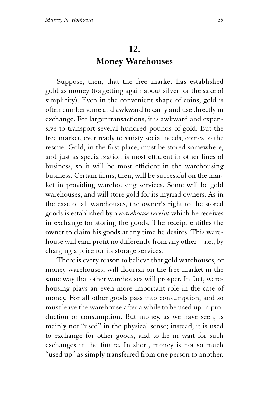## **12. Money Warehouses**

Suppose, then, that the free market has established gold as money (forgetting again about silver for the sake of simplicity). Even in the convenient shape of coins, gold is often cumbersome and awkward to carry and use directly in exchange. For larger transactions, it is awkward and expensive to transport several hundred pounds of gold. But the free market, ever ready to satisfy social needs, comes to the rescue. Gold, in the first place, must be stored somewhere, and just as specialization is most efficient in other lines of business, so it will be most efficient in the warehousing business. Certain firms, then, will be successful on the market in providing warehousing services. Some will be gold warehouses, and will store gold for its myriad owners. As in the case of all warehouses, the owner's right to the stored goods is established by a *warehouse receipt* which he receives in exchange for storing the goods. The receipt entitles the owner to claim his goods at any time he desires. This warehouse will earn profit no differently from any other—i.e., by charging a price for its storage services.

There is every reason to believe that gold warehouses, or money warehouses, will flourish on the free market in the same way that other warehouses will prosper. In fact, warehousing plays an even more important role in the case of money. For all other goods pass into consumption, and so must leave the warehouse after a while to be used up in production or consumption. But money, as we have seen, is mainly not "used" in the physical sense; instead, it is used to exchange for other goods, and to lie in wait for such exchanges in the future. In short, money is not so much "used up" as simply transferred from one person to another.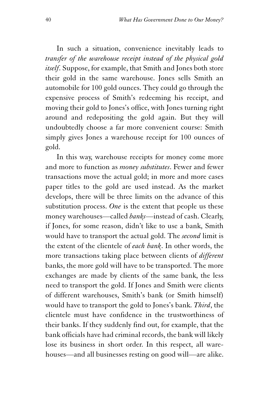In such a situation, convenience inevitably leads to *transfer of the warehouse receipt instead of the physical gold itself*. Suppose, for example, that Smith and Jones both store their gold in the same warehouse. Jones sells Smith an automobile for 100 gold ounces. They could go through the expensive process of Smith's redeeming his receipt, and moving their gold to Jones's office, with Jones turning right around and redepositing the gold again. But they will undoubtedly choose a far more convenient course: Smith simply gives Jones a warehouse receipt for 100 ounces of gold.

In this way, warehouse receipts for money come more and more to function as *money substitutes*. Fewer and fewer transactions move the actual gold; in more and more cases paper titles to the gold are used instead. As the market develops, there will be three limits on the advance of this substitution process. *One* is the extent that people us these money warehouses—called *banks*—instead of cash. Clearly, if Jones, for some reason, didn't like to use a bank, Smith would have to transport the actual gold. The *second* limit is the extent of the clientele of *each bank*. In other words, the more transactions taking place between clients of *different* banks, the more gold will have to be transported. The more exchanges are made by clients of the same bank, the less need to transport the gold. If Jones and Smith were clients of different warehouses, Smith's bank (or Smith himself) would have to transport the gold to Jones's bank. *Third*, the clientele must have confidence in the trustworthiness of their banks. If they suddenly find out, for example, that the bank officials have had criminal records, the bank will likely lose its business in short order. In this respect, all warehouses—and all businesses resting on good will—are alike.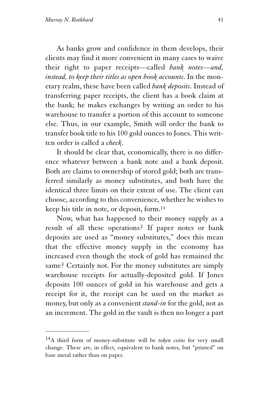As banks grow and confidence in them develops, their clients may find it more convenient in many cases to waive their right to paper receipts—called *bank notes—and, instead, to keep their titles as open book accounts*. In the monetary realm, these have been called *bank deposits*. Instead of transferring paper receipts, the client has a book claim at the bank; he makes exchanges by writing an order to his warehouse to transfer a portion of this account to someone else. Thus, in our example, Smith will order the bank to transfer book title to his 100 gold ounces to Jones. This written order is called a *check*.

It should be clear that, economically, there is no difference whatever between a bank note and a bank deposit. Both are claims to ownership of stored gold; both are transferred similarly as money substitutes, and both have the identical three limits on their extent of use. The client can choose, according to this convenience, whether he wishes to keep his title in note, or deposit, form.14

Now, what has happened to their money supply as a result of all these operations? If paper notes or bank deposits are used as "money substitutes," does this mean that the effective money supply in the economy has increased even though the stock of gold has remained the same? Certainly not. For the money substitutes are simply warehouse receipts for actually-deposited gold. If Jones deposits 100 ounces of gold in his warehouse and gets a receipt for it, the receipt can be used on the market as money, but only as a convenient *stand-in* for the gold, not as an increment. The gold in the vault is then no longer a part

<sup>14</sup>A third form of money-substitute will be *token coins* for very small change. These are, in effect, equivalent to bank notes, but "printed" on base metal rather than on paper.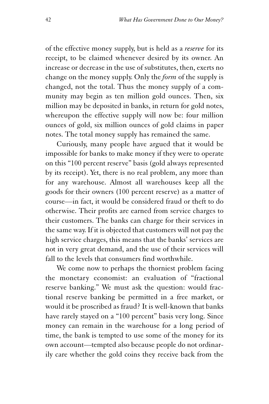of the effective money supply, but is held as a *reserve* for its receipt, to be claimed whenever desired by its owner. An increase or decrease in the use of substitutes, then, exerts no change on the money supply. Only the *form* of the supply is changed, not the total. Thus the money supply of a community may begin as ten million gold ounces. Then, six million may be deposited in banks, in return for gold notes, whereupon the effective supply will now be: four million ounces of gold, six million ounces of gold claims in paper notes. The total money supply has remained the same.

Curiously, many people have argued that it would be impossible for banks to make money if they were to operate on this "100 percent reserve" basis (gold always represented by its receipt). Yet, there is no real problem, any more than for any warehouse. Almost all warehouses keep all the goods for their owners (100 percent reserve) as a matter of course—in fact, it would be considered fraud or theft to do otherwise. Their profits are earned from service charges to their customers. The banks can charge for their services in the same way. If it is objected that customers will not pay the high service charges, this means that the banks' services are not in very great demand, and the use of their services will fall to the levels that consumers find worthwhile.

We come now to perhaps the thorniest problem facing the monetary economist: an evaluation of "fractional reserve banking." We must ask the question: would fractional reserve banking be permitted in a free market, or would it be proscribed as fraud? It is well-known that banks have rarely stayed on a "100 percent" basis very long. Since money can remain in the warehouse for a long period of time, the bank is tempted to use some of the money for its own account—tempted also because people do not ordinarily care whether the gold coins they receive back from the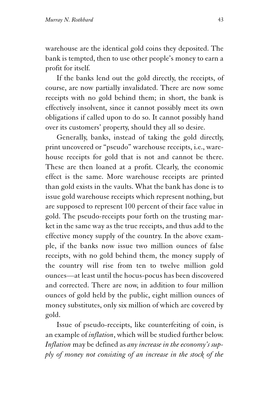warehouse are the identical gold coins they deposited. The bank is tempted, then to use other people's money to earn a profit for itself.

If the banks lend out the gold directly, the receipts, of course, are now partially invalidated. There are now some receipts with no gold behind them; in short, the bank is effectively insolvent, since it cannot possibly meet its own obligations if called upon to do so. It cannot possibly hand over its customers' property, should they all so desire.

Generally, banks, instead of taking the gold directly, print uncovered or "pseudo" warehouse receipts, i.e., warehouse receipts for gold that is not and cannot be there. These are then loaned at a profit. Clearly, the economic effect is the same. More warehouse receipts are printed than gold exists in the vaults. What the bank has done is to issue gold warehouse receipts which represent nothing, but are supposed to represent 100 percent of their face value in gold. The pseudo-receipts pour forth on the trusting market in the same way as the true receipts, and thus add to the effective money supply of the country. In the above example, if the banks now issue two million ounces of false receipts, with no gold behind them, the money supply of the country will rise from ten to twelve million gold ounces—at least until the hocus-pocus has been discovered and corrected. There are now, in addition to four million ounces of gold held by the public, eight million ounces of money substitutes, only six million of which are covered by gold.

Issue of pseudo-receipts, like counterfeiting of coin, is an example of *inflation*, which will be studied further below. *Inflation* may be defined as *any increase in the economy's supply of money not consisting of an increase in the stock of the*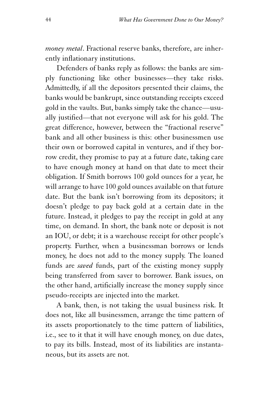*money metal*. Fractional reserve banks, therefore, are inherently inflationary institutions.

Defenders of banks reply as follows: the banks are simply functioning like other businesses—they take risks. Admittedly, if all the depositors presented their claims, the banks would be bankrupt, since outstanding receipts exceed gold in the vaults. But, banks simply take the chance—usually justified—that not everyone will ask for his gold. The great difference, however, between the "fractional reserve" bank and all other business is this: other businessmen use their own or borrowed capital in ventures, and if they borrow credit, they promise to pay at a future date, taking care to have enough money at hand on that date to meet their obligation. If Smith borrows 100 gold ounces for a year, he will arrange to have 100 gold ounces available on that future date. But the bank isn't borrowing from its depositors; it doesn't pledge to pay back gold at a certain date in the future. Instead, it pledges to pay the receipt in gold at any time, on demand. In short, the bank note or deposit is not an IOU, or debt; it is a warehouse receipt for other people's property. Further, when a businessman borrows or lends money, he does not add to the money supply. The loaned funds are *saved* funds, part of the existing money supply being transferred from saver to borrower. Bank issues, on the other hand, artificially increase the money supply since pseudo-receipts are injected into the market.

A bank, then, is not taking the usual business risk. It does not, like all businessmen, arrange the time pattern of its assets proportionately to the time pattern of liabilities, i.e., see to it that it will have enough money, on due dates, to pay its bills. Instead, most of its liabilities are instantaneous, but its assets are not.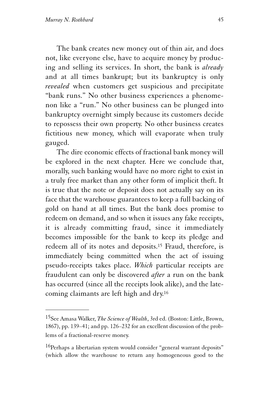The bank creates new money out of thin air, and does not, like everyone else, have to acquire money by producing and selling its services. In short, the bank is *already* and at all times bankrupt; but its bankruptcy is only *revealed* when customers get suspicious and precipitate "bank runs." No other business experiences a phenomenon like a "run." No other business can be plunged into bankruptcy overnight simply because its customers decide to repossess their own property. No other business creates fictitious new money, which will evaporate when truly gauged.

The dire economic effects of fractional bank money will be explored in the next chapter. Here we conclude that, morally, such banking would have no more right to exist in a truly free market than any other form of implicit theft. It is true that the note or deposit does not actually say on its face that the warehouse guarantees to keep a full backing of gold on hand at all times. But the bank does promise to redeem on demand, and so when it issues any fake receipts, it is already committing fraud, since it immediately becomes impossible for the bank to keep its pledge and redeem all of its notes and deposits.15 Fraud, therefore, is immediately being committed when the act of issuing pseudo-receipts takes place. *Which* particular receipts are fraudulent can only be discovered *after* a run on the bank has occurred (since all the receipts look alike), and the latecoming claimants are left high and dry.16

<sup>15</sup>See Amasa Walker, *The Science of Wealth*, 3rd ed. (Boston: Little, Brown, 1867), pp. 139–41; and pp. 126–232 for an excellent discussion of the problems of a fractional-reserve money.

<sup>&</sup>lt;sup>16</sup>Perhaps a libertarian system would consider "general warrant deposits" (which allow the warehouse to return any homogeneous good to the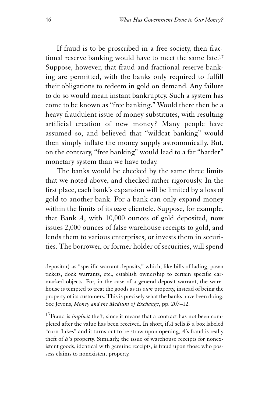If fraud is to be proscribed in a free society, then fractional reserve banking would have to meet the same fate.<sup>17</sup> Suppose, however, that fraud and fractional reserve banking are permitted, with the banks only required to fulfill their obligations to redeem in gold on demand. Any failure to do so would mean instant bankruptcy. Such a system has come to be known as "free banking." Would there then be a heavy fraudulent issue of money substitutes, with resulting artificial creation of new money? Many people have assumed so, and believed that "wildcat banking" would then simply inflate the money supply astronomically. But, on the contrary, "free banking" would lead to a far "harder" monetary system than we have today.

The banks would be checked by the same three limits that we noted above, and checked rather rigorously. In the first place, each bank's expansion will be limited by a loss of gold to another bank. For a bank can only expand money within the limits of its *own* clientele. Suppose, for example, that Bank *A*, with 10,000 ounces of gold deposited, now issues 2,000 ounces of false warehouse receipts to gold, and lends them to various enterprises, or invests them in securities. The borrower, or former holder of securities, will spend

depositor) as "specific warrant deposits," which, like bills of lading, pawn tickets, dock warrants, etc., establish ownership to certain specific earmarked objects. For, in the case of a general deposit warrant, the warehouse is tempted to treat the goods as its *own* property, instead of being the property of its customers. This is precisely what the banks have been doing. See Jevons, *Money and the Medium of Exchange*, pp. 207–12.

<sup>&</sup>lt;sup>17</sup>Fraud is *implicit* theft, since it means that a contract has not been completed after the value has been received. In short, if *A* sells *B* a box labeled "corn flakes" and it turns out to be straw upon opening, *A*'s fraud is really theft of *B*'s property. Similarly, the issue of warehouse receipts for nonexistent goods, identical with genuine receipts, is fraud upon those who possess claims to nonexistent property.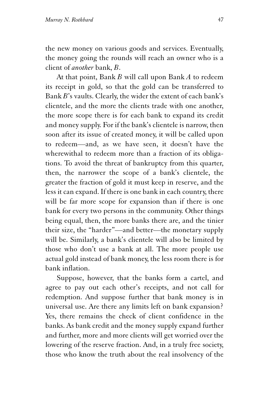the new money on various goods and services. Eventually, the money going the rounds will reach an owner who is a client of *another* bank, *B*.

At that point, Bank *B* will call upon Bank *A* to redeem its receipt in gold, so that the gold can be transferred to Bank *B*'s vaults. Clearly, the wider the extent of each bank's clientele, and the more the clients trade with one another, the more scope there is for each bank to expand its credit and money supply. For if the bank's clientele is narrow, then soon after its issue of created money, it will be called upon to redeem—and, as we have seen, it doesn't have the wherewithal to redeem more than a fraction of its obligations. To avoid the threat of bankruptcy from this quarter, then, the narrower the scope of a bank's clientele, the greater the fraction of gold it must keep in reserve, and the less it can expand. If there is one bank in each country, there will be far more scope for expansion than if there is one bank for every two persons in the community. Other things being equal, then, the more banks there are, and the tinier their size, the "harder"—and better—the monetary supply will be. Similarly, a bank's clientele will also be limited by those who don't use a bank at all. The more people use actual gold instead of bank money, the less room there is for bank inflation.

Suppose, however, that the banks form a cartel, and agree to pay out each other's receipts, and not call for redemption. And suppose further that bank money is in universal use. Are there any limits left on bank expansion? Yes, there remains the check of client confidence in the banks. As bank credit and the money supply expand further and further, more and more clients will get worried over the lowering of the reserve fraction. And, in a truly free society, those who know the truth about the real insolvency of the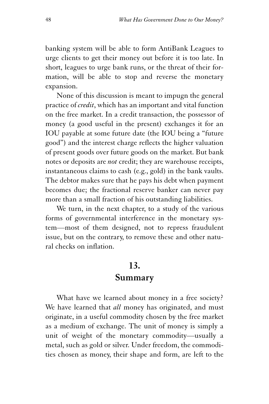banking system will be able to form AntiBank Leagues to urge clients to get their money out before it is too late. In short, leagues to urge bank runs, or the threat of their formation, will be able to stop and reverse the monetary expansion.

None of this discussion is meant to impugn the general practice of *credit*, which has an important and vital function on the free market. In a credit transaction, the possessor of money (a good useful in the present) exchanges it for an IOU payable at some future date (the IOU being a "future good") and the interest charge reflects the higher valuation of present goods over future goods on the market. But bank notes or deposits are *not* credit; they are warehouse receipts, instantaneous claims to cash (e.g., gold) in the bank vaults. The debtor makes sure that he pays his debt when payment becomes due; the fractional reserve banker can never pay more than a small fraction of his outstanding liabilities.

We turn, in the next chapter, to a study of the various forms of governmental interference in the monetary system—most of them designed, not to repress fraudulent issue, but on the contrary, to remove these and other natural checks on inflation.

## **13. Summary**

What have we learned about money in a free society? We have learned that *all* money has originated, and must originate, in a useful commodity chosen by the free market as a medium of exchange. The unit of money is simply a unit of weight of the monetary commodity—usually a metal, such as gold or silver. Under freedom, the commodities chosen as money, their shape and form, are left to the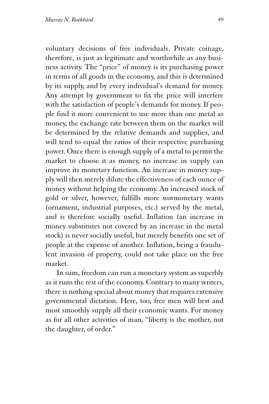voluntary decisions of free individuals. Private coinage, therefore, is just as legitimate and worthwhile as any business activity. The "price" of money is its purchasing power in terms of all goods in the economy, and this is determined by its supply, and by every individual's demand for money. Any attempt by government to fix the price will interfere with the satisfaction of people's demands for money. If people find it more convenient to use more than one metal as money, the exchange rate between them on the market will be determined by the relative demands and supplies, and will tend to equal the ratios of their respective purchasing power. Once there is enough supply of a metal to permit the market to choose it as money, no increase in supply can improve its monetary function. An increase in money supply will then merely dilute the effectiveness of each ounce of money without helping the economy. An increased stock of gold or silver, however, fulfills more *non*monetary wants (ornament, industrial purposes, etc.) served by the metal, and is therefore socially useful. Inflation (an increase in money substitutes not covered by an increase in the metal stock) is never socially useful, but merely benefits one set of people at the expense of another. Inflation, being a fraudulent invasion of property, could not take place on the free market.

In sum, freedom can run a monetary system as superbly as it runs the rest of the economy. Contrary to many writers, there is nothing special about money that requires extensive governmental dictation. Here, too, free men will best and most smoothly supply all their economic wants. For money as for all other activities of man, "liberty is the mother, not the daughter, of order."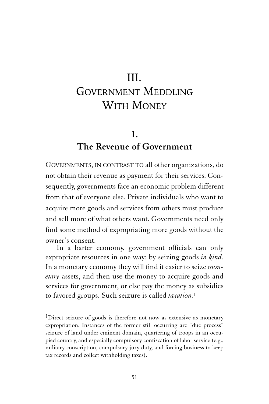# III.

# GOVERNMENT MEDDLING WITH MONEY

## **1. The Revenue of Government**

GOVERNMENTS, IN CONTRAST TO all other organizations, do not obtain their revenue as payment for their services. Consequently, governments face an economic problem different from that of everyone else. Private individuals who want to acquire more goods and services from others must produce and sell more of what others want. Governments need only find some method of expropriating more goods without the owner's consent.

In a barter economy, government officials can only expropriate resources in one way: by seizing goods *in kind*. In a monetary economy they will find it easier to seize *monetary* assets, and then use the money to acquire goods and services for government, or else pay the money as subsidies to favored groups. Such seizure is called *taxation*.1

<sup>&</sup>lt;sup>1</sup>Direct seizure of goods is therefore not now as extensive as monetary expropriation. Instances of the former still occurring are "due process" seizure of land under eminent domain, quartering of troops in an occupied country, and especially compulsory confiscation of labor service (e.g., military conscription, compulsory jury duty, and forcing business to keep tax records and collect withholding taxes).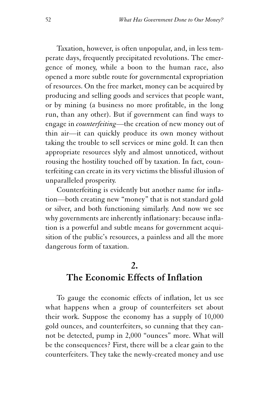Taxation, however, is often unpopular, and, in less temperate days, frequently precipitated revolutions. The emergence of money, while a boon to the human race, also opened a more subtle route for governmental expropriation of resources. On the free market, money can be acquired by producing and selling goods and services that people want, or by mining (a business no more profitable, in the long run, than any other). But if government can find ways to engage in *counterfeiting*—the creation of new money out of thin air—it can quickly produce its own money without taking the trouble to sell services or mine gold. It can then appropriate resources slyly and almost unnoticed, without rousing the hostility touched off by taxation. In fact, counterfeiting can create in its very victims the blissful illusion of unparalleled prosperity.

Counterfeiting is evidently but another name for inflation—both creating new "money" that is not standard gold or silver, and both functioning similarly. And now we see why governments are inherently inflationary: because inflation is a powerful and subtle means for government acquisition of the public's resources, a painless and all the more dangerous form of taxation.

## **2.**

### **The Economic Effects of Inflation**

To gauge the economic effects of inflation, let us see what happens when a group of counterfeiters set about their work. Suppose the economy has a supply of 10,000 gold ounces, and counterfeiters, so cunning that they cannot be detected, pump in 2,000 "ounces" more. What will be the consequences? First, there will be a clear gain to the counterfeiters. They take the newly-created money and use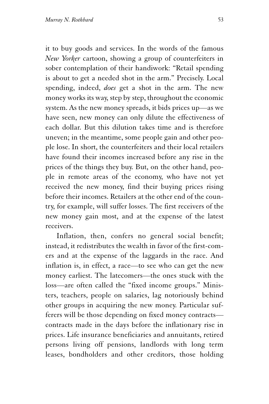it to buy goods and services. In the words of the famous *New Yorker* cartoon, showing a group of counterfeiters in sober contemplation of their handiwork: "Retail spending is about to get a needed shot in the arm." Precisely. Local spending, indeed, *does* get a shot in the arm. The new money works its way, step by step, throughout the economic system. As the new money spreads, it bids prices up—as we have seen, new money can only dilute the effectiveness of each dollar. But this dilution takes time and is therefore uneven; in the meantime, some people gain and other people lose. In short, the counterfeiters and their local retailers have found their incomes increased before any rise in the prices of the things they buy. But, on the other hand, people in remote areas of the economy, who have not yet received the new money, find their buying prices rising before their incomes. Retailers at the other end of the country, for example, will suffer losses. The first receivers of the new money gain most, and at the expense of the latest receivers.

Inflation, then, confers no general social benefit; instead, it redistributes the wealth in favor of the first-comers and at the expense of the laggards in the race. And inflation is, in effect, a race—to see who can get the new money earliest. The latecomers—the ones stuck with the loss—are often called the "fixed income groups." Ministers, teachers, people on salaries, lag notoriously behind other groups in acquiring the new money. Particular sufferers will be those depending on fixed money contracts contracts made in the days before the inflationary rise in prices. Life insurance beneficiaries and annuitants, retired persons living off pensions, landlords with long term leases, bondholders and other creditors, those holding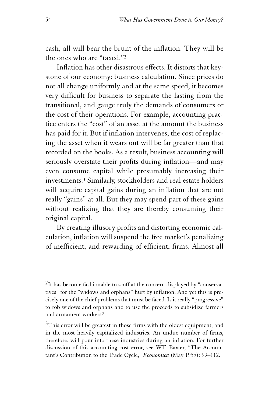cash, all will bear the brunt of the inflation. They will be the ones who are "taxed."2

Inflation has other disastrous effects. It distorts that keystone of our economy: business calculation. Since prices do not all change uniformly and at the same speed, it becomes very difficult for business to separate the lasting from the transitional, and gauge truly the demands of consumers or the cost of their operations. For example, accounting practice enters the "cost" of an asset at the amount the business has paid for it. But if inflation intervenes, the cost of replacing the asset when it wears out will be far greater than that recorded on the books. As a result, business accounting will seriously overstate their profits during inflation—and may even consume capital while presumably increasing their investments.3 Similarly, stockholders and real estate holders will acquire capital gains during an inflation that are not really "gains" at all. But they may spend part of these gains without realizing that they are thereby consuming their original capital.

By creating illusory profits and distorting economic calculation, inflation will suspend the free market's penalizing of inefficient, and rewarding of efficient, firms. Almost all

<sup>&</sup>lt;sup>2</sup>It has become fashionable to scoff at the concern displayed by "conservatives" for the "widows and orphans" hurt by inflation. And yet this is precisely one of the chief problems that must be faced. Is it really "progressive" to rob widows and orphans and to use the proceeds to subsidize farmers and armament workers?

 $<sup>3</sup>$ This error will be greatest in those firms with the oldest equipment, and</sup> in the most heavily capitalized industries. An undue number of firms, therefore, will pour into these industries during an inflation. For further discussion of this accounting-cost error, see W.T. Baxter, "The Accountant's Contribution to the Trade Cycle," *Economica* (May 1955): 99–112.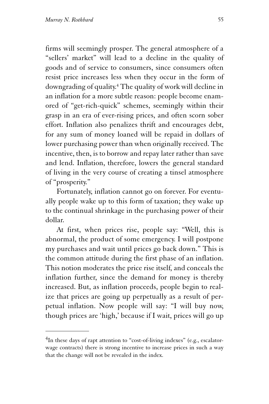firms will seemingly prosper. The general atmosphere of a "sellers' market" will lead to a decline in the quality of goods and of service to consumers, since consumers often resist price increases less when they occur in the form of downgrading of quality.4 The quality of work will decline in an inflation for a more subtle reason: people become enamored of "get-rich-quick" schemes, seemingly within their grasp in an era of ever-rising prices, and often scorn sober effort. Inflation also penalizes thrift and encourages debt, for any sum of money loaned will be repaid in dollars of lower purchasing power than when originally received. The incentive, then, is to borrow and repay later rather than save and lend. Inflation, therefore, lowers the general standard of living in the very course of creating a tinsel atmosphere of "prosperity."

Fortunately, inflation cannot go on forever. For eventually people wake up to this form of taxation; they wake up to the continual shrinkage in the purchasing power of their dollar.

At first, when prices rise, people say: "Well, this is abnormal, the product of some emergency. I will postpone my purchases and wait until prices go back down." This is the common attitude during the first phase of an inflation. This notion moderates the price rise itself, and conceals the inflation further, since the demand for money is thereby increased. But, as inflation proceeds, people begin to realize that prices are going up perpetually as a result of perpetual inflation. Now people will say: "I will buy now, though prices are 'high,' because if I wait, prices will go up

<sup>&</sup>lt;sup>4</sup>In these days of rapt attention to "cost-of-living indexes" (e.g., escalatorwage contracts) there is strong incentive to increase prices in such a way that the change will not be revealed in the index.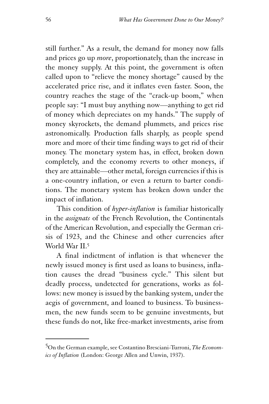still further." As a result, the demand for money now falls and prices go up *more*, proportionately, than the increase in the money supply. At this point, the government is often called upon to "relieve the money shortage" caused by the accelerated price rise, and it inflates even faster. Soon, the country reaches the stage of the "crack-up boom," when people say: "I must buy anything now—anything to get rid of money which depreciates on my hands." The supply of money skyrockets, the demand plummets, and prices rise astronomically. Production falls sharply, as people spend more and more of their time finding ways to get rid of their money. The monetary system has, in effect, broken down completely, and the economy reverts to other moneys, if they are attainable—other metal, foreign currencies if this is a one-country inflation, or even a return to barter conditions. The monetary system has broken down under the impact of inflation.

This condition of *hyper-inflation* is familiar historically in the *assignats* of the French Revolution, the Continentals of the American Revolution, and especially the German crisis of 1923, and the Chinese and other currencies after World War II.5

A final indictment of inflation is that whenever the newly issued money is first used as loans to business, inflation causes the dread "business cycle." This silent but deadly process, undetected for generations, works as follows: new money is issued by the banking system, under the aegis of government, and loaned to business. To businessmen, the new funds seem to be genuine investments, but these funds do not, like free-market investments, arise from

<sup>5</sup>On the German example, see Costantino Bresciani-Turroni, *The Economics of Inflation* (London: George Allen and Unwin, 1937).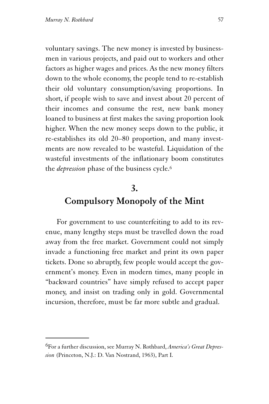voluntary savings. The new money is invested by businessmen in various projects, and paid out to workers and other factors as higher wages and prices. As the new money filters down to the whole economy, the people tend to re-establish their old voluntary consumption/saving proportions. In short, if people wish to save and invest about 20 percent of their incomes and consume the rest, new bank money loaned to business at first makes the saving proportion look higher. When the new money seeps down to the public, it re-establishes its old 20–80 proportion, and many investments are now revealed to be wasteful. Liquidation of the wasteful investments of the inflationary boom constitutes the *depression* phase of the business cycle.6

### **3.**

### **Compulsory Monopoly of the Mint**

For government to use counterfeiting to add to its revenue, many lengthy steps must be travelled down the road away from the free market. Government could not simply invade a functioning free market and print its own paper tickets. Done so abruptly, few people would accept the government's money. Even in modern times, many people in "backward countries" have simply refused to accept paper money, and insist on trading only in gold. Governmental incursion, therefore, must be far more subtle and gradual.

<sup>6</sup>For a further discussion, see Murray N. Rothbard, *America's Great Depression* (Princeton, N.J.: D. Van Nostrand, 1963), Part I.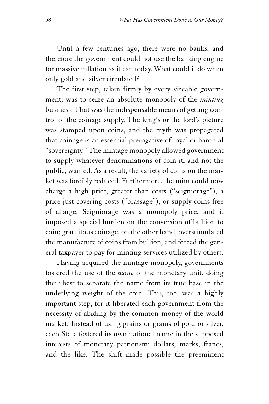Until a few centuries ago, there were no banks, and therefore the government could not use the banking engine for massive inflation as it can today. What could it do when only gold and silver circulated?

The first step, taken firmly by every sizeable government, was to seize an absolute monopoly of the *minting* business. That was the indispensable means of getting control of the coinage supply. The king's or the lord's picture was stamped upon coins, and the myth was propagated that coinage is an essential prerogative of royal or baronial "sovereignty." The mintage monopoly allowed government to supply whatever denominations of coin it, and not the public, wanted. As a result, the variety of coins on the market was forcibly reduced. Furthermore, the mint could now charge a high price, greater than costs ("seigniorage"), a price just covering costs ("brassage"), or supply coins free of charge. Seigniorage was a monopoly price, and it imposed a special burden on the conversion of bullion to coin; gratuitous coinage, on the other hand, overstimulated the manufacture of coins from bullion, and forced the general taxpayer to pay for minting services utilized by others.

Having acquired the mintage monopoly, governments fostered the use of the *name* of the monetary unit, doing their best to separate the name from its true base in the underlying weight of the coin. This, too, was a highly important step, for it liberated each government from the necessity of abiding by the common money of the world market. Instead of using grains or grams of gold or silver, each State fostered its own national name in the supposed interests of monetary patriotism: dollars, marks, francs, and the like. The shift made possible the preeminent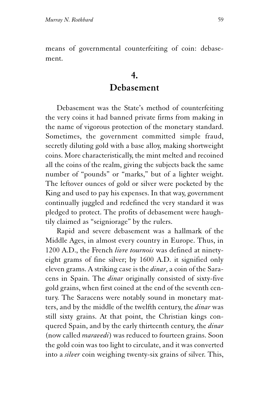means of governmental counterfeiting of coin: debasement.

## **4. Debasement**

Debasement was the State's method of counterfeiting the very coins it had banned private firms from making in the name of vigorous protection of the monetary standard. Sometimes, the government committed simple fraud, secretly diluting gold with a base alloy, making shortweight coins. More characteristically, the mint melted and recoined all the coins of the realm, giving the subjects back the same number of "pounds" or "marks," but of a lighter weight. The leftover ounces of gold or silver were pocketed by the King and used to pay his expenses. In that way, government continually juggled and redefined the very standard it was pledged to protect. The profits of debasement were haughtily claimed as "seigniorage" by the rulers.

Rapid and severe debasement was a hallmark of the Middle Ages, in almost every country in Europe. Thus, in 1200 A.D., the French *livre tournois* was defined at ninetyeight grams of fine silver; by 1600 A.D. it signified only eleven grams. A striking case is the *dinar*, a coin of the Saracens in Spain. The *dinar* originally consisted of sixty-five gold grains, when first coined at the end of the seventh century. The Saracens were notably sound in monetary matters, and by the middle of the twelfth century, the *dinar* was still sixty grains. At that point, the Christian kings conquered Spain, and by the early thirteenth century, the *dinar* (now called *maravedi*) was reduced to fourteen grains. Soon the gold coin was too light to circulate, and it was converted into a *silver* coin weighing twenty-six grains of silver. This,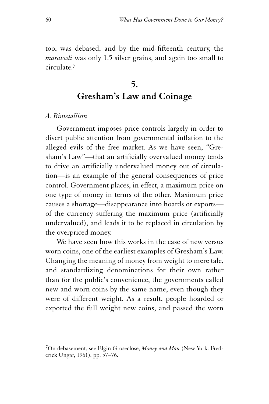too, was debased, and by the mid-fifteenth century, the *maravedi* was only 1.5 silver grains, and again too small to circulate.7

## **5. Gresham's Law and Coinage**

#### *A. Bimetallism*

Government imposes price controls largely in order to divert public attention from governmental inflation to the alleged evils of the free market. As we have seen, "Gresham's Law"—that an artificially overvalued money tends to drive an artificially undervalued money out of circulation—is an example of the general consequences of price control. Government places, in effect, a maximum price on one type of money in terms of the other. Maximum price causes a shortage—disappearance into hoards or exports of the currency suffering the maximum price (artificially undervalued), and leads it to be replaced in circulation by the overpriced money.

We have seen how this works in the case of new versus worn coins, one of the earliest examples of Gresham's Law. Changing the meaning of money from weight to mere tale, and standardizing denominations for their own rather than for the public's convenience, the governments called new and worn coins by the same name, even though they were of different weight. As a result, people hoarded or exported the full weight new coins, and passed the worn

<sup>7</sup>On debasement, see Elgin Groseclose, *Money and Man* (New York: Frederick Ungar, 1961), pp. 57–76.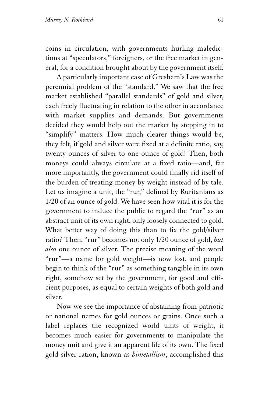coins in circulation, with governments hurling maledictions at "speculators," foreigners, or the free market in general, for a condition brought about by the government itself.

A particularly important case of Gresham's Law was the perennial problem of the "standard." We saw that the free market established "parallel standards" of gold and silver, each freely fluctuating in relation to the other in accordance with market supplies and demands. But governments decided they would help out the market by stepping in to "simplify" matters. How much clearer things would be, they felt, if gold and silver were fixed at a definite ratio, say, twenty ounces of silver to one ounce of gold! Then, both moneys could always circulate at a fixed ratio—and, far more importantly, the government could finally rid itself of the burden of treating money by weight instead of by tale. Let us imagine a unit, the "rur," defined by Ruritanians as 1/20 of an ounce of gold. We have seen how vital it is for the government to induce the public to regard the "rur" as an abstract unit of its own right, only loosely connected to gold. What better way of doing this than to fix the gold/silver ratio? Then, "rur" becomes not only 1/20 ounce of gold, *but also* one ounce of silver. The precise meaning of the word "rur"—a name for gold weight—is now lost, and people begin to think of the "rur" as something tangible in its own right, somehow set by the government, for good and efficient purposes, as equal to certain weights of both gold and silver.

Now we see the importance of abstaining from patriotic or national names for gold ounces or grains. Once such a label replaces the recognized world units of weight, it becomes much easier for governments to manipulate the money unit and give it an apparent life of its own. The fixed gold-silver ration, known as *bimetallism*, accomplished this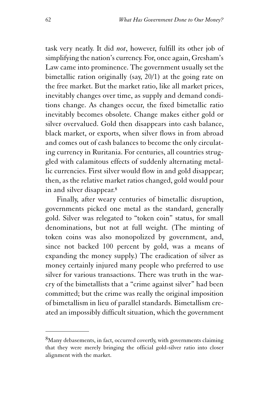task very neatly. It did *not*, however, fulfill its other job of simplifying the nation's currency. For, once again, Gresham's Law came into prominence. The government usually set the bimetallic ration originally (say, 20/1) at the going rate on the free market. But the market ratio, like all market prices, inevitably changes over time, as supply and demand conditions change. As changes occur, the fixed bimetallic ratio inevitably becomes obsolete. Change makes either gold or silver overvalued. Gold then disappears into cash balance, black market, or exports, when silver flows in from abroad and comes out of cash balances to become the only circulating currency in Ruritania. For centuries, all countries struggled with calamitous effects of suddenly alternating metallic currencies. First silver would flow in and gold disappear; then, as the relative market ratios changed, gold would pour in and silver disappear.8

Finally, after weary centuries of bimetallic disruption, governments picked one metal as the standard, generally gold. Silver was relegated to "token coin" status, for small denominations, but not at full weight. (The minting of token coins was also monopolized by government, and, since not backed 100 percent by gold, was a means of expanding the money supply.) The eradication of silver as money certainly injured many people who preferred to use silver for various transactions. There was truth in the warcry of the bimetallists that a "crime against silver" had been committed; but the crime was really the original imposition of bimetallism in lieu of parallel standards. Bimetallism created an impossibly difficult situation, which the government

<sup>&</sup>lt;sup>8</sup>Many debasements, in fact, occurred covertly, with governments claiming that they were merely bringing the official gold-silver ratio into closer alignment with the market.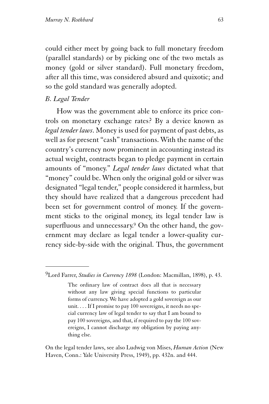could either meet by going back to full monetary freedom (parallel standards) or by picking one of the two metals as money (gold or silver standard). Full monetary freedom, after all this time, was considered absurd and quixotic; and so the gold standard was generally adopted.

#### *B. Legal Tender*

How was the government able to enforce its price controls on monetary exchange rates? By a device known as *legal tender laws*. Money is used for payment of past debts, as well as for present "cash" transactions. With the name of the country's currency now prominent in accounting instead its actual weight, contracts began to pledge payment in certain amounts of "money." *Legal tender laws* dictated what that "money" could be. When only the original gold or silver was designated "legal tender," people considered it harmless, but they should have realized that a dangerous precedent had been set for government control of money. If the government sticks to the original money, its legal tender law is superfluous and unnecessary.<sup>9</sup> On the other hand, the government may declare as legal tender a lower-quality currency side-by-side with the original. Thus, the government

On the legal tender laws, see also Ludwig von Mises, *Human Action* (New Haven, Conn.: Yale University Press, 1949), pp. 432n. and 444.

<sup>9</sup>Lord Farrer, *Studies in Currency 1898* (London: Macmillan, 1898), p. 43.

The ordinary law of contract does all that is necessary without any law giving special functions to particular forms of currency. We have adopted a gold sovereign as our unit. . . . If I promise to pay 100 sovereigns, it needs no special currency law of legal tender to say that I am bound to pay 100 sovereigns, and that, if required to pay the 100 sovereigns, I cannot discharge my obligation by paying anything else.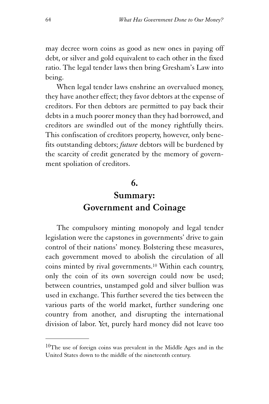may decree worn coins as good as new ones in paying off debt, or silver and gold equivalent to each other in the fixed ratio. The legal tender laws then bring Gresham's Law into being.

When legal tender laws enshrine an overvalued money, they have another effect; they favor debtors at the expense of creditors. For then debtors are permitted to pay back their debts in a much poorer money than they had borrowed, and creditors are swindled out of the money rightfully theirs. This confiscation of creditors property, however, only benefits outstanding debtors; *future* debtors will be burdened by the scarcity of credit generated by the memory of government spoliation of creditors.

### **6.**

## **Summary: Government and Coinage**

The compulsory minting monopoly and legal tender legislation were the capstones in governments' drive to gain control of their nations' money. Bolstering these measures, each government moved to abolish the circulation of all coins minted by rival governments.10 Within each country, only the coin of its own sovereign could now be used; between countries, unstamped gold and silver bullion was used in exchange. This further severed the ties between the various parts of the world market, further sundering one country from another, and disrupting the international division of labor. Yet, purely hard money did not leave too

<sup>&</sup>lt;sup>10</sup>The use of foreign coins was prevalent in the Middle Ages and in the United States down to the middle of the nineteenth century.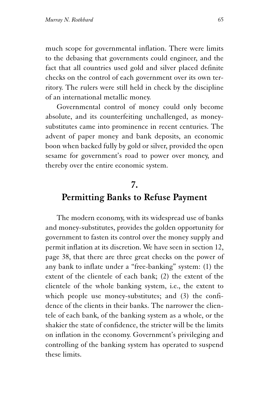much scope for governmental inflation. There were limits to the debasing that governments could engineer, and the fact that all countries used gold and silver placed definite checks on the control of each government over its own territory. The rulers were still held in check by the discipline of an international metallic money.

Governmental control of money could only become absolute, and its counterfeiting unchallenged, as moneysubstitutes came into prominence in recent centuries. The advent of paper money and bank deposits, an economic boon when backed fully by gold or silver, provided the open sesame for government's road to power over money, and thereby over the entire economic system.

### **7.**

### **Permitting Banks to Refuse Payment**

The modern economy, with its widespread use of banks and money-substitutes, provides the golden opportunity for government to fasten its control over the money supply and permit inflation at its discretion. We have seen in section 12, page 38, that there are three great checks on the power of any bank to inflate under a "free-banking" system: (1) the extent of the clientele of each bank; (2) the extent of the clientele of the whole banking system, i.e., the extent to which people use money-substitutes; and (3) the confidence of the clients in their banks. The narrower the clientele of each bank, of the banking system as a whole, or the shakier the state of confidence, the stricter will be the limits on inflation in the economy. Government's privileging and controlling of the banking system has operated to suspend these limits.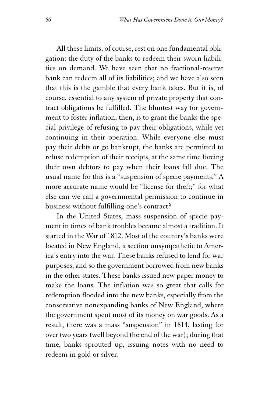All these limits, of course, rest on one fundamental obligation: the duty of the banks to redeem their sworn liabilities on demand. We have seen that no fractional-reserve bank can redeem all of its liabilities; and we have also seen that this is the gamble that every bank takes. But it is, of course, essential to any system of private property that contract obligations be fulfilled. The bluntest way for government to foster inflation, then, is to grant the banks the special privilege of refusing to pay their obligations, while yet continuing in their operation. While everyone else must pay their debts or go bankrupt, the banks are permitted to refuse redemption of their receipts, at the same time forcing their own debtors to pay when their loans fall due. The usual name for this is a "suspension of specie payments." A more accurate name would be "license for theft;" for what else can we call a governmental permission to continue in business without fulfilling one's contract?

In the United States, mass suspension of specie payment in times of bank troubles became almost a tradition. It started in the War of 1812. Most of the country's banks were located in New England, a section unsympathetic to America's entry into the war. These banks refused to lend for war purposes, and so the government borrowed from new banks in the other states. These banks issued new paper money to make the loans. The inflation was so great that calls for redemption flooded into the new banks, especially from the conservative nonexpanding banks of New England, where the government spent most of its money on war goods. As a result, there was a mass "suspension" in 1814, lasting for over two years (well beyond the end of the war); during that time, banks sprouted up, issuing notes with no need to redeem in gold or silver.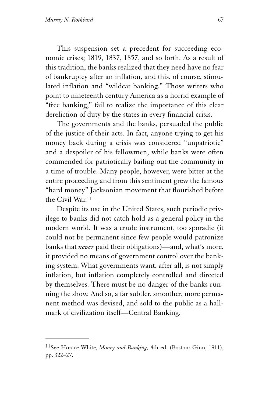This suspension set a precedent for succeeding economic crises; 1819, 1837, 1857, and so forth. As a result of this tradition, the banks realized that they need have no fear of bankruptcy after an inflation, and this, of course, stimulated inflation and "wildcat banking." Those writers who point to nineteenth century America as a horrid example of "free banking," fail to realize the importance of this clear dereliction of duty by the states in every financial crisis.

The governments and the banks, persuaded the public of the justice of their acts. In fact, anyone trying to get his money back during a crisis was considered "unpatriotic" and a despoiler of his fellowmen, while banks were often commended for patriotically bailing out the community in a time of trouble. Many people, however, were bitter at the entire proceeding and from this sentiment grew the famous "hard money" Jacksonian movement that flourished before the Civil War.11

Despite its use in the United States, such periodic privilege to banks did not catch hold as a general policy in the modern world. It was a crude instrument, too sporadic (it could not be permanent since few people would patronize banks that *never* paid their obligations)—and, what's more, it provided no means of government control over the banking system. What governments want, after all, is not simply inflation, but inflation completely controlled and directed by themselves. There must be no danger of the banks running the show. And so, a far subtler, smoother, more permanent method was devised, and sold to the public as a hallmark of civilization itself—Central Banking.

<sup>11</sup>See Horace White, *Money and Banking,* 4th ed. (Boston: Ginn, 1911), pp. 322–27.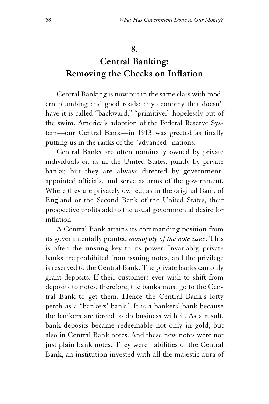### **8.**

# **Central Banking: Removing the Checks on Inflation**

Central Banking is now put in the same class with modern plumbing and good roads: any economy that doesn't have it is called "backward," "primitive," hopelessly out of the swim. America's adoption of the Federal Reserve System—our Central Bank—in 1913 was greeted as finally putting us in the ranks of the "advanced" nations.

Central Banks are often nominally owned by private individuals or, as in the United States, jointly by private banks; but they are always directed by governmentappointed officials, and serve as arms of the government. Where they are privately owned, as in the original Bank of England or the Second Bank of the United States, their prospective profits add to the usual governmental desire for inflation.

A Central Bank attains its commanding position from its governmentally granted *monopoly of the note issue*. This is often the unsung key to its power. Invariably, private banks are prohibited from issuing notes, and the privilege is reserved to the Central Bank. The private banks can only grant deposits. If their customers ever wish to shift from deposits to notes, therefore, the banks must go to the Central Bank to get them. Hence the Central Bank's lofty perch as a "bankers' bank." It is a bankers' bank because the bankers are forced to do business with it. As a result, bank deposits became redeemable not only in gold, but also in Central Bank notes. And these new notes were not just plain bank notes. They were liabilities of the Central Bank, an institution invested with all the majestic aura of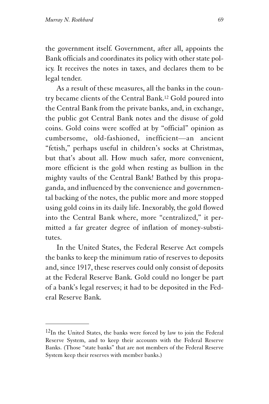the government itself. Government, after all, appoints the Bank officials and coordinates its policy with other state policy. It receives the notes in taxes, and declares them to be legal tender.

As a result of these measures, all the banks in the country became clients of the Central Bank.12 Gold poured into the Central Bank from the private banks, and, in exchange, the public got Central Bank notes and the disuse of gold coins. Gold coins were scoffed at by "official" opinion as cumbersome, old-fashioned, inefficient—an ancient "fetish," perhaps useful in children's socks at Christmas, but that's about all. How much safer, more convenient, more efficient is the gold when resting as bullion in the mighty vaults of the Central Bank! Bathed by this propaganda, and influenced by the convenience and governmental backing of the notes, the public more and more stopped using gold coins in its daily life. Inexorably, the gold flowed into the Central Bank where, more "centralized," it permitted a far greater degree of inflation of money-substitutes.

In the United States, the Federal Reserve Act compels the banks to keep the minimum ratio of reserves to deposits and, since 1917, these reserves could only consist of deposits at the Federal Reserve Bank. Gold could no longer be part of a bank's legal reserves; it had to be deposited in the Federal Reserve Bank.

 $^{12}$ In the United States, the banks were forced by law to join the Federal Reserve System, and to keep their accounts with the Federal Reserve Banks. (Those "state banks" that are not members of the Federal Reserve System keep their reserves with member banks.)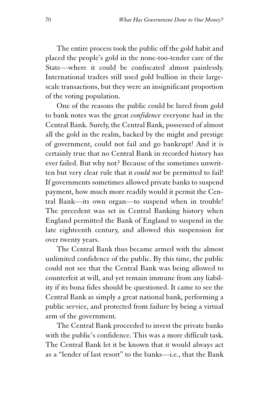The entire process took the public off the gold habit and placed the people's gold in the none-too-tender care of the State—where it could be confiscated almost painlessly. International traders still used gold bullion in their largescale transactions, but they were an insignificant proportion of the voting population.

One of the reasons the public could be lured from gold to bank notes was the great *confidence* everyone had in the Central Bank. Surely, the Central Bank, possessed of almost all the gold in the realm, backed by the might and prestige of government, could not fail and go bankrupt! And it is certainly true that no Central Bank in recorded history has ever failed. But why not? Because of the sometimes unwritten but very clear rule that it *could not* be permitted to fail! If governments sometimes allowed private banks to suspend payment, how much more readily would it permit the Central Bank—its own organ—to suspend when in trouble! The precedent was set in Central Banking history when England permitted the Bank of England to suspend in the late eighteenth century, and allowed this suspension for over twenty years.

The Central Bank thus became armed with the almost unlimited confidence of the public. By this time, the public could not see that the Central Bank was being allowed to counterfeit at will, and yet remain immune from any liability if its bona fides should be questioned. It came to see the Central Bank as simply a great national bank, performing a public service, and protected from failure by being a virtual arm of the government.

The Central Bank proceeded to invest the private banks with the public's confidence. This was a more difficult task. The Central Bank let it be known that it would always act as a "lender of last resort" to the banks—i.e., that the Bank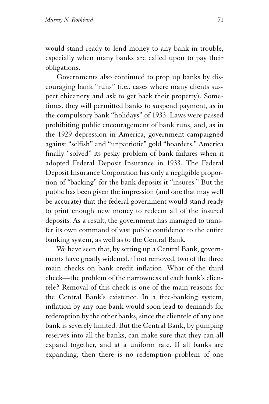would stand ready to lend money to any bank in trouble, especially when many banks are called upon to pay their obligations.

Governments also continued to prop up banks by discouraging bank "runs" (i.e., cases where many clients suspect chicanery and ask to get back their property). Sometimes, they will permitted banks to suspend payment, as in the compulsory bank "holidays" of 1933. Laws were passed prohibiting public encouragement of bank runs, and, as in the 1929 depression in America, government campaigned against "selfish" and "unpatriotic" gold "hoarders." America finally "solved" its pesky problem of bank failures when it adopted Federal Deposit Insurance in 1933. The Federal Deposit Insurance Corporation has only a negligible proportion of "backing" for the bank deposits it "insures." But the public has been given the impression (and one that may well be accurate) that the federal government would stand ready to print enough new money to redeem all of the insured deposits. As a result, the government has managed to transfer its own command of vast public confidence to the entire banking system, as well as to the Central Bank.

We have seen that, by setting up a Central Bank, governments have greatly widened, if not removed, two of the three main checks on bank credit inflation. What of the third check—the problem of the narrowness of each bank's clientele? Removal of this check is one of the main reasons for the Central Bank's existence. In a free-banking system, inflation by any one bank would soon lead to demands for redemption by the other banks, since the clientele of any one bank is severely limited. But the Central Bank, by pumping reserves into all the banks, can make sure that they can all expand together, and at a uniform rate. If all banks are expanding, then there is no redemption problem of one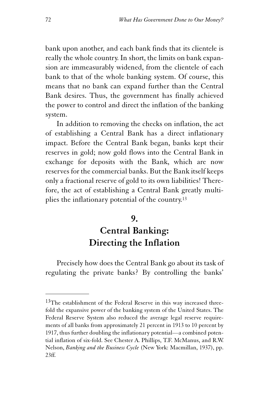bank upon another, and each bank finds that its clientele is really the whole country. In short, the limits on bank expansion are immeasurably widened, from the clientele of each bank to that of the whole banking system. Of course, this means that no bank can expand further than the Central Bank desires. Thus, the government has finally achieved the power to control and direct the inflation of the banking system.

In addition to removing the checks on inflation, the act of establishing a Central Bank has a direct inflationary impact. Before the Central Bank began, banks kept their reserves in gold; now gold flows into the Central Bank in exchange for deposits with the Bank, which are now reserves for the commercial banks. But the Bank itself keeps only a fractional reserve of gold to its own liabilities! Therefore, the act of establishing a Central Bank greatly multiplies the inflationary potential of the country.<sup>13</sup>

### **9.**

# **Central Banking: Directing the Inflation**

Precisely how does the Central Bank go about its task of regulating the private banks? By controlling the banks'

<sup>&</sup>lt;sup>13</sup>The establishment of the Federal Reserve in this way increased threefold the expansive power of the banking system of the United States. The Federal Reserve System also reduced the average legal reserve requirements of all banks from approximately 21 percent in 1913 to 10 percent by 1917, thus further doubling the inflationary potential—a combined potential inflation of six-fold. See Chester A. Phillips, T.F. McManus, and R.W. Nelson, *Banking and the Business Cycle* (New York: Macmillan, 1937), pp. 23ff.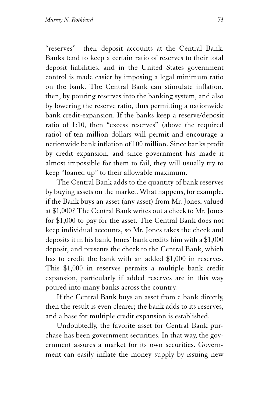"reserves"—their deposit accounts at the Central Bank. Banks tend to keep a certain ratio of reserves to their total deposit liabilities, and in the United States government control is made easier by imposing a legal minimum ratio on the bank. The Central Bank can stimulate inflation, then, by pouring reserves into the banking system, and also by lowering the reserve ratio, thus permitting a nationwide bank credit-expansion. If the banks keep a reserve/deposit ratio of 1:10, then "excess reserves" (above the required ratio) of ten million dollars will permit and encourage a nationwide bank inflation of 100 million. Since banks profit by credit expansion, and since government has made it almost impossible for them to fail, they will usually try to keep "loaned up" to their allowable maximum.

The Central Bank adds to the quantity of bank reserves by buying assets on the market. What happens, for example, if the Bank buys an asset (any asset) from Mr. Jones, valued at \$1,000? The Central Bank writes out a check to Mr. Jones for \$1,000 to pay for the asset. The Central Bank does not keep individual accounts, so Mr. Jones takes the check and deposits it in his bank. Jones' bank credits him with a \$1,000 deposit, and presents the check to the Central Bank, which has to credit the bank with an added \$1,000 in reserves. This \$1,000 in reserves permits a multiple bank credit expansion, particularly if added reserves are in this way poured into many banks across the country.

If the Central Bank buys an asset from a bank directly, then the result is even clearer; the bank adds to its reserves, and a base for multiple credit expansion is established.

Undoubtedly, the favorite asset for Central Bank purchase has been government securities. In that way, the government assures a market for its own securities. Government can easily inflate the money supply by issuing new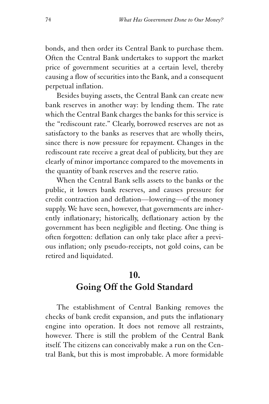bonds, and then order its Central Bank to purchase them. Often the Central Bank undertakes to support the market price of government securities at a certain level, thereby causing a flow of securities into the Bank, and a consequent perpetual inflation.

Besides buying assets, the Central Bank can create new bank reserves in another way: by lending them. The rate which the Central Bank charges the banks for this service is the "rediscount rate." Clearly, borrowed reserves are not as satisfactory to the banks as reserves that are wholly theirs, since there is now pressure for repayment. Changes in the rediscount rate receive a great deal of publicity, but they are clearly of minor importance compared to the movements in the quantity of bank reserves and the reserve ratio.

When the Central Bank sells assets to the banks or the public, it lowers bank reserves, and causes pressure for credit contraction and deflation—lowering—of the money supply. We have seen, however, that governments are inherently inflationary; historically, deflationary action by the government has been negligible and fleeting. One thing is often forgotten: deflation can only take place after a previous inflation; only pseudo-receipts, not gold coins, can be retired and liquidated.

### **10. Going Off the Gold Standard**

The establishment of Central Banking removes the checks of bank credit expansion, and puts the inflationary engine into operation. It does not remove all restraints, however. There is still the problem of the Central Bank itself. The citizens can conceivably make a run on the Central Bank, but this is most improbable. A more formidable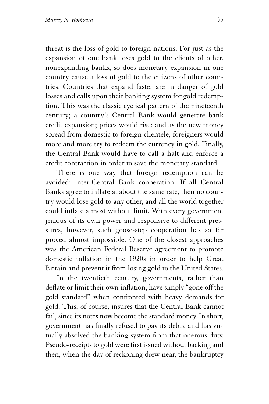threat is the loss of gold to foreign nations. For just as the expansion of one bank loses gold to the clients of other, nonexpanding banks, so does monetary expansion in one country cause a loss of gold to the citizens of other countries. Countries that expand faster are in danger of gold losses and calls upon their banking system for gold redemption. This was the classic cyclical pattern of the nineteenth century; a country's Central Bank would generate bank credit expansion; prices would rise; and as the new money spread from domestic to foreign clientele, foreigners would more and more try to redeem the currency in gold. Finally, the Central Bank would have to call a halt and enforce a credit contraction in order to save the monetary standard.

There is one way that foreign redemption can be avoided: inter-Central Bank cooperation. If all Central Banks agree to inflate at about the same rate, then no country would lose gold to any other, and all the world together could inflate almost without limit. With every government jealous of its own power and responsive to different pressures, however, such goose-step cooperation has so far proved almost impossible. One of the closest approaches was the American Federal Reserve agreement to promote domestic inflation in the 1920s in order to help Great Britain and prevent it from losing gold to the United States.

In the twentieth century, governments, rather than deflate or limit their own inflation, have simply "gone off the gold standard" when confronted with heavy demands for gold. This, of course, insures that the Central Bank cannot fail, since its notes now become the standard money. In short, government has finally refused to pay its debts, and has virtually absolved the banking system from that onerous duty. Pseudo-receipts to gold were first issued without backing and then, when the day of reckoning drew near, the bankruptcy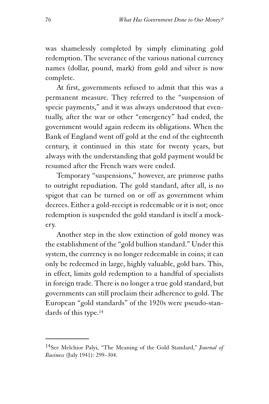was shamelessly completed by simply eliminating gold redemption. The severance of the various national currency names (dollar, pound, mark) from gold and silver is now complete.

At first, governments refused to admit that this was a permanent measure. They referred to the "suspension of specie payments," and it was always understood that eventually, after the war or other "emergency" had ended, the government would again redeem its obligations. When the Bank of England went off gold at the end of the eighteenth century, it continued in this state for twenty years, but always with the understanding that gold payment would be resumed after the French wars were ended.

Temporary "suspensions," however, are primrose paths to outright repudiation. The gold standard, after all, is no spigot that can be turned on or off as government whim decrees. Either a gold-receipt is redeemable or it is not; once redemption is suspended the gold standard is itself a mockery.

Another step in the slow extinction of gold money was the establishment of the "gold bullion standard." Under this system, the currency is no longer redeemable in coins; it can only be redeemed in large, highly valuable, gold bars. This, in effect, limits gold redemption to a handful of specialists in foreign trade. There is no longer a true gold standard, but governments can still proclaim their adherence to gold. The European "gold standards" of the 1920s were pseudo-standards of this type.14

<sup>14</sup>See Melchior Palyi, "The Meaning of the Gold Standard," *Journal of Business* (July 1941): 299–304.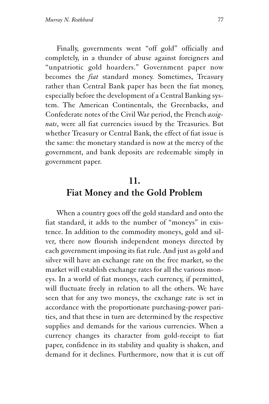Finally, governments went "off gold" officially and completely, in a thunder of abuse against foreigners and "unpatriotic gold hoarders." Government paper now becomes the *fiat* standard money. Sometimes, Treasury rather than Central Bank paper has been the fiat money, especially before the development of a Central Banking system. The American Continentals, the Greenbacks, and Confederate notes of the Civil War period, the French *assignats*, were all fiat currencies issued by the Treasuries. But whether Treasury or Central Bank, the effect of fiat issue is the same: the monetary standard is now at the mercy of the government, and bank deposits are redeemable simply in government paper.

### **11. Fiat Money and the Gold Problem**

When a country goes off the gold standard and onto the fiat standard, it adds to the number of "moneys" in existence. In addition to the commodity moneys, gold and silver, there now flourish independent moneys directed by each government imposing its fiat rule. And just as gold and silver will have an exchange rate on the free market, so the market will establish exchange rates for all the various moneys. In a world of fiat moneys, each currency, if permitted, will fluctuate freely in relation to all the others. We have seen that for any two moneys, the exchange rate is set in accordance with the proportionate purchasing-power parities, and that these in turn are determined by the respective supplies and demands for the various currencies. When a currency changes its character from gold-receipt to fiat paper, confidence in its stability and quality is shaken, and demand for it declines. Furthermore, now that it is cut off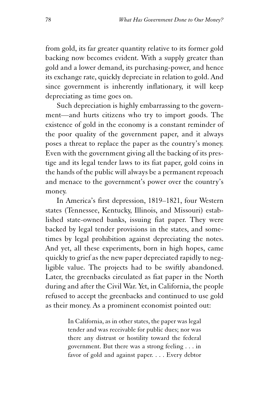from gold, its far greater quantity relative to its former gold backing now becomes evident. With a supply greater than gold and a lower demand, its purchasing-power, and hence its exchange rate, quickly depreciate in relation to gold. And since government is inherently inflationary, it will keep depreciating as time goes on.

Such depreciation is highly embarrassing to the government—and hurts citizens who try to import goods. The existence of gold in the economy is a constant reminder of the poor quality of the government paper, and it always poses a threat to replace the paper as the country's money. Even with the government giving all the backing of its prestige and its legal tender laws to its fiat paper, gold coins in the hands of the public will always be a permanent reproach and menace to the government's power over the country's money.

In America's first depression, 1819–1821, four Western states (Tennessee, Kentucky, Illinois, and Missouri) established state-owned banks, issuing fiat paper. They were backed by legal tender provisions in the states, and sometimes by legal prohibition against depreciating the notes. And yet, all these experiments, born in high hopes, came quickly to grief as the new paper depreciated rapidly to negligible value. The projects had to be swiftly abandoned. Later, the greenbacks circulated as fiat paper in the North during and after the Civil War. Yet, in California, the people refused to accept the greenbacks and continued to use gold as their money. As a prominent economist pointed out:

> In California, as in other states, the paper was legal tender and was receivable for public dues; nor was there any distrust or hostility toward the federal government. But there was a strong feeling . . . in favor of gold and against paper. . . . Every debtor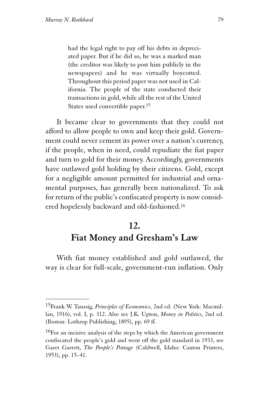had the legal right to pay off his debts in depreciated paper. But if he did so, he was a marked man (the creditor was likely to post him publicly in the newspapers) and he was virtually boycotted. Throughout this period paper was not used in California. The people of the state conducted their transactions in gold, while all the rest of the United States used convertible paper.15

It became clear to governments that they could not afford to allow people to own and keep their gold. Government could never cement its power over a nation's currency, if the people, when in need, could repudiate the fiat paper and turn to gold for their money. Accordingly, governments have outlawed gold holding by their citizens. Gold, except for a negligible amount permitted for industrial and ornamental purposes, has generally been nationalized. To ask for return of the public's confiscated property is now considered hopelessly backward and old-fashioned.16

### **12. Fiat Money and Gresham's Law**

With fiat money established and gold outlawed, the way is clear for full-scale, government-run inflation. Only

<sup>15</sup>Frank W. Taussig, *Principles of Economics*, 2nd ed. (New York: Macmillan, 1916), vol. I, p. 312. Also see J.K. Upton, *Money in Politics*, 2nd ed. (Boston: Lothrop Publishing, 1895), pp. 69 ff.

<sup>&</sup>lt;sup>16</sup>For an incisive analysis of the steps by which the American government confiscated the people's gold and went off the gold standard in 1933, see Garet Garrett, *The People's Pottage* (Caldwell, Idaho: Caxton Printers, 1953), pp. 15–41.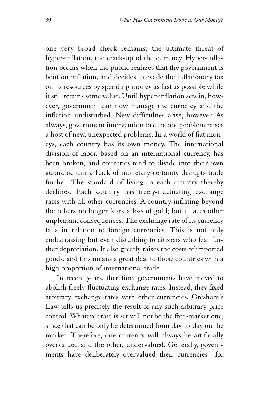one very broad check remains: the ultimate threat of hyper-inflation, the crack-up of the currency. Hyper-inflation occurs when the public realizes that the government is bent on inflation, and decides to evade the inflationary tax on its resources by spending money as fast as possible while it still retains some value. Until hyper-inflation sets in, however, government can now manage the currency and the inflation undisturbed. New difficulties arise, however. As always, government intervention to cure one problem raises a host of new, unexpected problems. In a world of fiat moneys, each country has its own money. The international division of labor, based on an international currency, has been broken, and countries tend to divide into their own autarchic units. Lack of monetary certainty disrupts trade further. The standard of living in each country thereby declines. Each country has freely-fluctuating exchange rates with all other currencies. A country inflating beyond the others no longer fears a loss of gold; but it faces other unpleasant consequences. The exchange rate of its currency falls in relation to foreign currencies. This is not only embarrassing but even disturbing to citizens who fear further depreciation. It also greatly raises the costs of imported goods, and this means a great deal to those countries with a high proportion of international trade.

In recent years, therefore, governments have moved to abolish freely-fluctuating exchange rates. Instead, they fixed arbitrary exchange rates with other currencies. Gresham's Law tells us precisely the result of any such arbitrary price control. Whatever rate is set will not be the free-market one, since that can be only be determined from day-to-day on the market. Therefore, one currency will always be artificially overvalued and the other, undervalued. Generally, governments have deliberately overvalued their currencies—for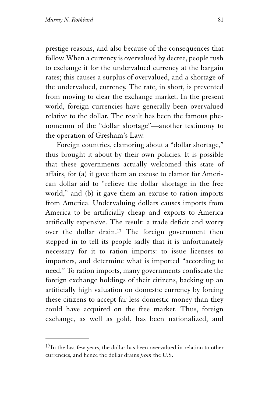prestige reasons, and also because of the consequences that follow. When a currency is overvalued by decree, people rush to exchange it for the undervalued currency at the bargain rates; this causes a surplus of overvalued, and a shortage of the undervalued, currency. The rate, in short, is prevented from moving to clear the exchange market. In the present world, foreign currencies have generally been overvalued relative to the dollar. The result has been the famous phenomenon of the "dollar shortage"—another testimony to the operation of Gresham's Law.

Foreign countries, clamoring about a "dollar shortage," thus brought it about by their own policies. It is possible that these governments actually welcomed this state of affairs, for (a) it gave them an excuse to clamor for American dollar aid to "relieve the dollar shortage in the free world," and (b) it gave them an excuse to ration imports from America. Undervaluing dollars causes imports from America to be artificially cheap and exports to America artifically expensive. The result: a trade deficit and worry over the dollar drain.17 The foreign government then stepped in to tell its people sadly that it is unfortunately necessary for it to ration imports: to issue licenses to importers, and determine what is imported "according to need." To ration imports, many governments confiscate the foreign exchange holdings of their citizens, backing up an artificially high valuation on domestic currency by forcing these citizens to accept far less domestic money than they could have acquired on the free market. Thus, foreign exchange, as well as gold, has been nationalized, and

 $17$ In the last few years, the dollar has been overvalued in relation to other currencies, and hence the dollar drains *from* the U.S.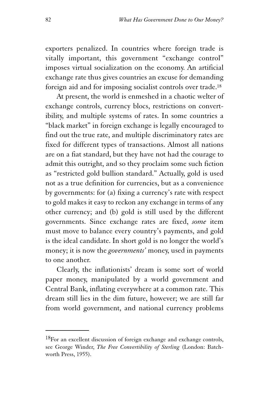exporters penalized. In countries where foreign trade is vitally important, this government "exchange control" imposes virtual socialization on the economy. An artificial exchange rate thus gives countries an excuse for demanding foreign aid and for imposing socialist controls over trade.18

At present, the world is enmeshed in a chaotic welter of exchange controls, currency blocs, restrictions on convertibility, and multiple systems of rates. In some countries a "black market" in foreign exchange is legally encouraged to find out the true rate, and multiple discriminatory rates are fixed for different types of transactions. Almost all nations are on a fiat standard, but they have not had the courage to admit this outright, and so they proclaim some such fiction as "restricted gold bullion standard." Actually, gold is used not as a true definition for currencies, but as a convenience by governments: for (a) fixing a currency's rate with respect to gold makes it easy to reckon any exchange in terms of any other currency; and (b) gold is still used by the different governments. Since exchange rates are fixed, *some* item must move to balance every country's payments, and gold is the ideal candidate. In short gold is no longer the world's money; it is now the *governments'* money, used in payments to one another.

Clearly, the inflationists' dream is some sort of world paper money, manipulated by a world government and Central Bank, inflating everywhere at a common rate. This dream still lies in the dim future, however; we are still far from world government, and national currency problems

<sup>&</sup>lt;sup>18</sup>For an excellent discussion of foreign exchange and exchange controls, see George Winder, *The Free Convertibility of Sterling* (London: Batchworth Press, 1955).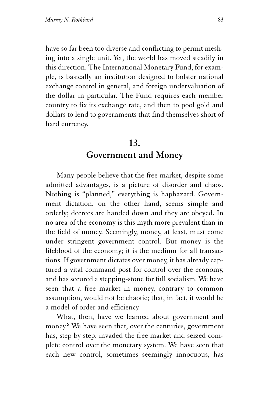have so far been too diverse and conflicting to permit meshing into a single unit. Yet, the world has moved steadily in this direction. The International Monetary Fund, for example, is basically an institution designed to bolster national exchange control in general, and foreign undervaluation of the dollar in particular. The Fund requires each member country to fix its exchange rate, and then to pool gold and dollars to lend to governments that find themselves short of hard currency.

### **13.**

### **Government and Money**

Many people believe that the free market, despite some admitted advantages, is a picture of disorder and chaos. Nothing is "planned," everything is haphazard. Government dictation, on the other hand, seems simple and orderly; decrees are handed down and they are obeyed. In no area of the economy is this myth more prevalent than in the field of money. Seemingly, money, at least, must come under stringent government control. But money is the lifeblood of the economy; it is the medium for all transactions. If government dictates over money, it has already captured a vital command post for control over the economy, and has secured a stepping-stone for full socialism. We have seen that a free market in money, contrary to common assumption, would not be chaotic; that, in fact, it would be a model of order and efficiency.

What, then, have we learned about government and money? We have seen that, over the centuries, government has, step by step, invaded the free market and seized complete control over the monetary system. We have seen that each new control, sometimes seemingly innocuous, has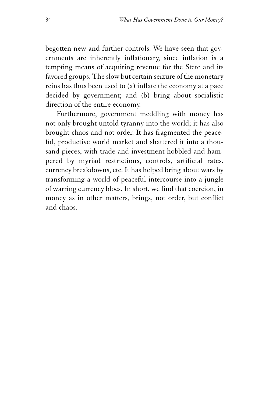begotten new and further controls. We have seen that governments are inherently inflationary, since inflation is a tempting means of acquiring revenue for the State and its favored groups. The slow but certain seizure of the monetary reins has thus been used to (a) inflate the economy at a pace decided by government; and (b) bring about socialistic direction of the entire economy.

Furthermore, government meddling with money has not only brought untold tyranny into the world; it has also brought chaos and not order. It has fragmented the peaceful, productive world market and shattered it into a thousand pieces, with trade and investment hobbled and hampered by myriad restrictions, controls, artificial rates, currency breakdowns, etc. It has helped bring about wars by transforming a world of peaceful intercourse into a jungle of warring currency blocs. In short, we find that coercion, in money as in other matters, brings, not order, but conflict and chaos.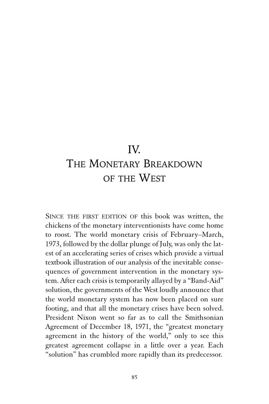# IV. THE MONETARY BREAKDOWN OF THE WEST

SINCE THE FIRST EDITION OF this book was written, the chickens of the monetary interventionists have come home to roost. The world monetary crisis of February–March, 1973, followed by the dollar plunge of July, was only the latest of an accelerating series of crises which provide a virtual textbook illustration of our analysis of the inevitable consequences of government intervention in the monetary system. After each crisis is temporarily allayed by a "Band-Aid" solution, the governments of the West loudly announce that the world monetary system has now been placed on sure footing, and that all the monetary crises have been solved. President Nixon went so far as to call the Smithsonian Agreement of December 18, 1971, the "greatest monetary agreement in the history of the world," only to see this greatest agreement collapse in a little over a year. Each "solution" has crumbled more rapidly than its predecessor.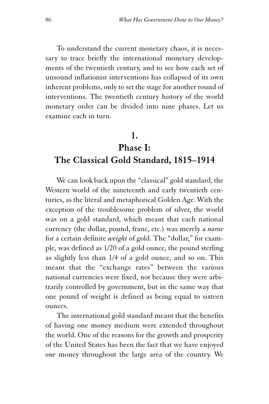To understand the current monetary chaos, it is necessary to trace briefly the international monetary developments of the twentieth century, and to see how each set of unsound inflationist interventions has collapsed of its own inherent problems, only to set the stage for another round of interventions. The twentieth century history of the world monetary order can be divided into nine phases. Let us examine each in turn.

#### **1.**

### **Phase I:**

#### **The Classical Gold Standard, 1815–1914**

We can look back upon the "classical" gold standard, the Western world of the nineteenth and early twentieth centuries, as the literal and metaphorical Golden Age. With the exception of the troublesome problem of silver, the world was on a gold standard, which meant that each national currency (the dollar, pound, franc, etc.) was merely a *name* for a certain definite *weight* of gold. The "dollar," for example, was defined as 1/20 of a gold ounce, the pound sterling as slightly less than 1/4 of a gold ounce, and so on. This meant that the "exchange rates" between the various national currencies were fixed, not because they were arbitrarily controlled by government, but in the same way that one pound of weight is defined as being equal to sixteen ounces.

The international gold standard meant that the benefits of having one money medium were extended throughout the world. One of the reasons for the growth and prosperity of the United States has been the fact that we have enjoyed *one* money throughout the large area of the country. We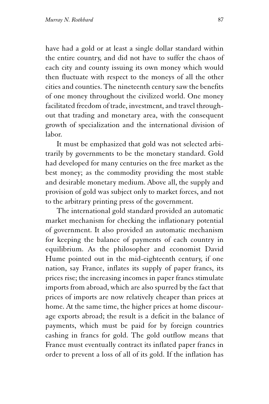have had a gold or at least a single dollar standard within the entire country, and did not have to suffer the chaos of each city and county issuing its own money which would then fluctuate with respect to the moneys of all the other cities and counties. The nineteenth century saw the benefits of one money throughout the civilized world. One money facilitated freedom of trade, investment, and travel throughout that trading and monetary area, with the consequent growth of specialization and the international division of labor.

It must be emphasized that gold was not selected arbitrarily by governments to be the monetary standard. Gold had developed for many centuries on the free market as the best money; as the commodity providing the most stable and desirable monetary medium. Above all, the supply and provision of gold was subject only to market forces, and not to the arbitrary printing press of the government.

The international gold standard provided an automatic market mechanism for checking the inflationary potential of government. It also provided an automatic mechanism for keeping the balance of payments of each country in equilibrium. As the philosopher and economist David Hume pointed out in the mid-eighteenth century, if one nation, say France, inflates its supply of paper francs, its prices rise; the increasing incomes in paper francs stimulate imports from abroad, which are also spurred by the fact that prices of imports are now relatively cheaper than prices at home. At the same time, the higher prices at home discourage exports abroad; the result is a deficit in the balance of payments, which must be paid for by foreign countries cashing in francs for gold. The gold outflow means that France must eventually contract its inflated paper francs in order to prevent a loss of all of its gold. If the inflation has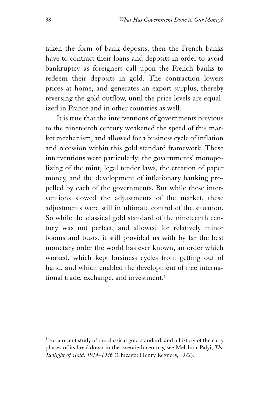taken the form of bank deposits, then the French banks have to contract their loans and deposits in order to avoid bankruptcy as foreigners call upon the French banks to redeem their deposits in gold. The contraction lowers prices at home, and generates an export surplus, thereby reversing the gold outflow, until the price levels are equalized in France and in other countries as well.

It is true that the interventions of governments previous to the nineteenth century weakened the speed of this market mechanism, and allowed for a business cycle of inflation and recession within this gold standard framework. These interventions were particularly: the governments' monopolizing of the mint, legal tender laws, the creation of paper money, and the development of inflationary banking propelled by each of the governments. But while these interventions slowed the adjustments of the market, these adjustments were still in ultimate control of the situation. So while the classical gold standard of the nineteenth century was not perfect, and allowed for relatively minor booms and busts, it still provided us with by far the best monetary order the world has ever known, an order which worked, which kept business cycles from getting out of hand, and which enabled the development of free international trade, exchange, and investment.<sup>1</sup>

 ${}^{1}$ For a recent study of the classical gold standard, and a history of the early phases of its breakdown in the twentieth century, see Melchior Palyi, *The Twilight of Gold, 1914–1936* (Chicago: Henry Regnery, 1972).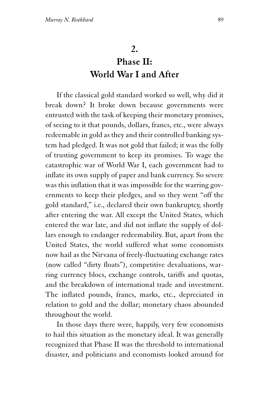#### **2.**

## **Phase II: World War I and After**

If the classical gold standard worked so well, why did it break down? It broke down because governments were entrusted with the task of keeping their monetary promises, of seeing to it that pounds, dollars, francs, etc., were always redeemable in gold as they and their controlled banking system had pledged. It was not gold that failed; it was the folly of trusting government to keep its promises. To wage the catastrophic war of World War I, each government had to inflate its own supply of paper and bank currency. So severe was this inflation that it was impossible for the warring governments to keep their pledges, and so they went "off the gold standard," i.e., declared their own bankruptcy, shortly after entering the war. All except the United States, which entered the war late, and did not inflate the supply of dollars enough to endanger redeemability. But, apart from the United States, the world suffered what some economists now hail as the Nirvana of freely-fluctuating exchange rates (now called "dirty floats"), competitive devaluations, warring currency blocs, exchange controls, tariffs and quotas, and the breakdown of international trade and investment. The inflated pounds, francs, marks, etc., depreciated in relation to gold and the dollar; monetary chaos abounded throughout the world.

In those days there were, happily, very few economists to hail this situation as the monetary ideal. It was generally recognized that Phase II was the threshold to international disaster, and politicians and economists looked around for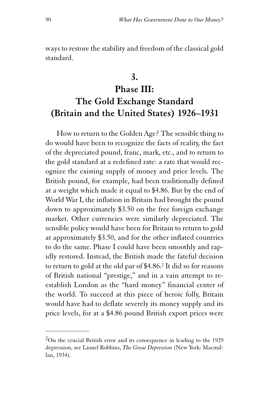ways to restore the stability and freedom of the classical gold standard.

### **3.**

### **Phase III:**

### **The Gold Exchange Standard (Britain and the United States) 1926–1931**

How to return to the Golden Age? The sensible thing to do would have been to recognize the facts of reality, the fact of the depreciated pound, franc, mark, etc., and to return to the gold standard at a redefined rate: a rate that would recognize the existing supply of money and price levels. The British pound, for example, had been traditionally defined at a weight which made it equal to \$4.86. But by the end of World War I, the inflation in Britain had brought the pound down to approximately \$3.50 on the free foreign exchange market. Other currencies were similarly depreciated. The sensible policy would have been for Britain to return to gold at approximately \$3.50, and for the other inflated countries to do the same. Phase I could have been smoothly and rapidly restored. Instead, the British made the fateful decision to return to gold at the old par of \$4.86.2 It did so for reasons of British national "prestige," and in a vain attempt to reestablish London as the "hard money" financial center of the world. To succeed at this piece of heroic folly, Britain would have had to deflate severely its money supply and its price levels, for at a \$4.86 pound British export prices were

<sup>&</sup>lt;sup>2</sup>On the crucial British error and its consequence in leading to the 1929 depression, see Lionel Robbins, *The Great Depression* (New York: Macmillan, 1934).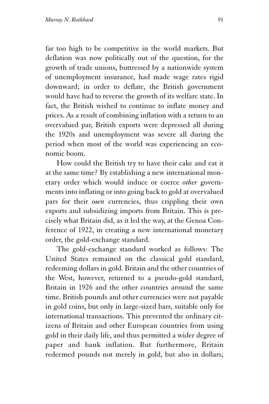far too high to be competitive in the world markets. But deflation was now politically out of the question, for the growth of trade unions, buttressed by a nationwide system of unemployment insurance, had made wage rates rigid downward; in order to deflate, the British government would have had to reverse the growth of its welfare state. In fact, the British wished to continue to inflate money and prices. As a result of combining inflation with a return to an overvalued par, British exports were depressed all during the 1920s and unemployment was severe all during the period when most of the world was experiencing an economic boom.

How could the British try to have their cake and eat it at the same time? By establishing a new international monetary order which would induce or coerce *other* governments into inflating or into going back to gold at overvalued pars for their *own* currencies, thus crippling their own exports and subsidizing imports from Britain. This is precisely what Britain did, as it led the way, at the Genoa Conference of 1922, in creating a new international monetary order, the gold-exchange standard.

The gold-exchange standard worked as follows: The United States remained on the classical gold standard, redeeming dollars in gold. Britain and the other countries of the West, however, returned to a pseudo-gold standard, Britain in 1926 and the other countries around the same time. British pounds and other currencies were not payable in gold coins, but only in large-sized bars, suitable only for international transactions. This prevented the ordinary citizens of Britain and other European countries from using gold in their daily life, and thus permitted a wider degree of paper and bank inflation. But furthermore, Britain redeemed pounds not merely in gold, but also in dollars;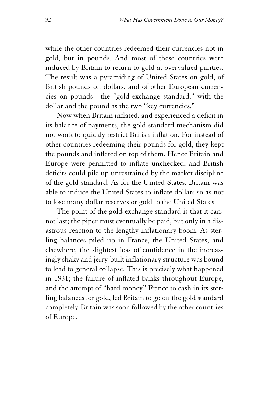while the other countries redeemed their currencies not in gold, but in pounds. And most of these countries were induced by Britain to return to gold at overvalued parities. The result was a pyramiding of United States on gold, of British pounds on dollars, and of other European currencies on pounds—the "gold-exchange standard," with the dollar and the pound as the two "key currencies."

Now when Britain inflated, and experienced a deficit in its balance of payments, the gold standard mechanism did not work to quickly restrict British inflation. For instead of other countries redeeming their pounds for gold, they kept the pounds and inflated on top of them. Hence Britain and Europe were permitted to inflate unchecked, and British deficits could pile up unrestrained by the market discipline of the gold standard. As for the United States, Britain was able to induce the United States to inflate dollars so as not to lose many dollar reserves or gold to the United States.

The point of the gold-exchange standard is that it cannot last; the piper must eventually be paid, but only in a disastrous reaction to the lengthy inflationary boom. As sterling balances piled up in France, the United States, and elsewhere, the slightest loss of confidence in the increasingly shaky and jerry-built inflationary structure was bound to lead to general collapse. This is precisely what happened in 1931; the failure of inflated banks throughout Europe, and the attempt of "hard money" France to cash in its sterling balances for gold, led Britain to go off the gold standard completely. Britain was soon followed by the other countries of Europe.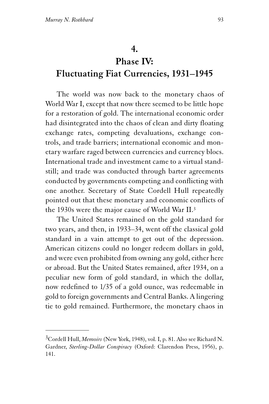## **Phase IV: Fluctuating Fiat Currencies, 1931–1945**

The world was now back to the monetary chaos of World War I, except that now there seemed to be little hope for a restoration of gold. The international economic order had disintegrated into the chaos of clean and dirty floating exchange rates, competing devaluations, exchange controls, and trade barriers; international economic and monetary warfare raged between currencies and currency blocs. International trade and investment came to a virtual standstill; and trade was conducted through barter agreements conducted by governments competing and conflicting with one another. Secretary of State Cordell Hull repeatedly pointed out that these monetary and economic conflicts of the 1930s were the major cause of World War II.3

The United States remained on the gold standard for two years, and then, in 1933–34, went off the classical gold standard in a vain attempt to get out of the depression. American citizens could no longer redeem dollars in gold, and were even prohibited from owning any gold, either here or abroad. But the United States remained, after 1934, on a peculiar new form of gold standard, in which the dollar, now redefined to 1/35 of a gold ounce, was redeemable in gold to foreign governments and Central Banks. A lingering tie to gold remained. Furthermore, the monetary chaos in

<sup>3</sup>Cordell Hull, *Memoirs* (New York, 1948), vol. I, p. 81. Also see Richard N. Gardner, *Sterling-Dollar Conspiracy* (Oxford: Clarendon Press, 1956), p. 141.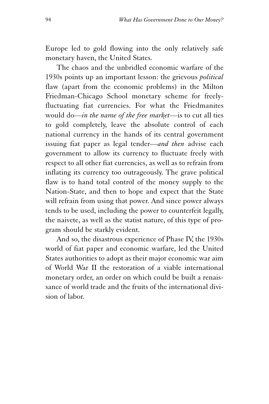Europe led to gold flowing into the only relatively safe monetary haven, the United States.

The chaos and the unbridled economic warfare of the 1930s points up an important lesson: the grievous *political* flaw (apart from the economic problems) in the Milton Friedman-Chicago School monetary scheme for freelyfluctuating fiat currencies. For what the Friedmanites would do—*in the name of the free market*—is to cut all ties to gold completely, leave the absolute control of each national currency in the hands of its central government issuing fiat paper as legal tender—*and then* advise each government to allow its currency to fluctuate freely with respect to all other fiat currencies, as well as to refrain from inflating its currency too outrageously. The grave political flaw is to hand total control of the money supply to the Nation-State, and then to hope and expect that the State will refrain from using that power. And since power always tends to be used, including the power to counterfeit legally, the naivete, as well as the statist nature, of this type of program should be starkly evident.

And so, the disastrous experience of Phase IV, the 1930s world of fiat paper and economic warfare, led the United States authorities to adopt as their major economic war aim of World War II the restoration of a viable international monetary order, an order on which could be built a renaissance of world trade and the fruits of the international division of labor.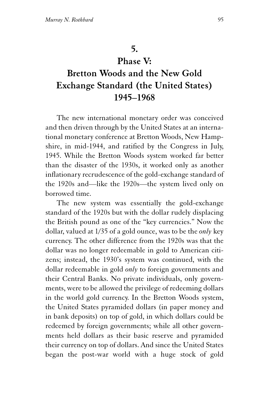#### **5.**

### **Phase V:**

## **Bretton Woods and the New Gold Exchange Standard (the United States) 1945–1968**

The new international monetary order was conceived and then driven through by the United States at an international monetary conference at Bretton Woods, New Hampshire, in mid-1944, and ratified by the Congress in July, 1945. While the Bretton Woods system worked far better than the disaster of the 1930s, it worked only as another inflationary recrudescence of the gold-exchange standard of the 1920s and—like the 1920s—the system lived only on borrowed time.

The new system was essentially the gold-exchange standard of the 1920s but with the dollar rudely displacing the British pound as one of the "key currencies." Now the dollar, valued at 1/35 of a gold ounce, was to be the *only* key currency. The other difference from the 1920s was that the dollar was no longer redeemable in gold to American citizens; instead, the 1930's system was continued, with the dollar redeemable in gold *only* to foreign governments and their Central Banks. No private individuals, only governments, were to be allowed the privilege of redeeming dollars in the world gold currency. In the Bretton Woods system, the United States pyramided dollars (in paper money and in bank deposits) on top of gold, in which dollars could be redeemed by foreign governments; while all other governments held dollars as their basic reserve and pyramided their currency on top of dollars. And since the United States began the post-war world with a huge stock of gold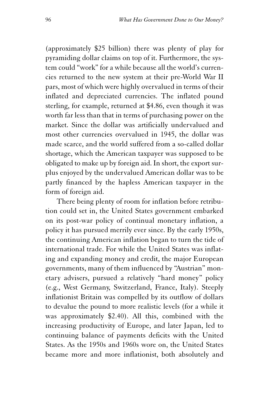(approximately \$25 billion) there was plenty of play for pyramiding dollar claims on top of it. Furthermore, the system could "work" for a while because all the world's currencies returned to the new system at their pre-World War II pars, most of which were highly overvalued in terms of their inflated and depreciated currencies. The inflated pound sterling, for example, returned at \$4.86, even though it was worth far less than that in terms of purchasing power on the market. Since the dollar was artificially undervalued and most other currencies overvalued in 1945, the dollar was made scarce, and the world suffered from a so-called dollar shortage, which the American taxpayer was supposed to be obligated to make up by foreign aid. In short, the export surplus enjoyed by the undervalued American dollar was to be partly financed by the hapless American taxpayer in the form of foreign aid.

There being plenty of room for inflation before retribution could set in, the United States government embarked on its post-war policy of continual monetary inflation, a policy it has pursued merrily ever since. By the early 1950s, the continuing American inflation began to turn the tide of international trade. For while the United States was inflating and expanding money and credit, the major European governments, many of them influenced by "Austrian" monetary advisers, pursued a relatively "hard money" policy (e.g., West Germany, Switzerland, France, Italy). Steeply inflationist Britain was compelled by its outflow of dollars to devalue the pound to more realistic levels (for a while it was approximately \$2.40). All this, combined with the increasing productivity of Europe, and later Japan, led to continuing balance of payments deficits with the United States. As the 1950s and 1960s wore on, the United States became more and more inflationist, both absolutely and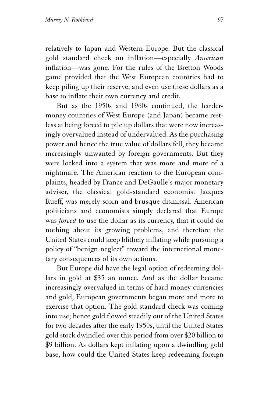relatively to Japan and Western Europe. But the classical gold standard check on inflation—especially *American* inflation—was gone. For the rules of the Bretton Woods game provided that the West European countries had to keep piling up their reserve, and even use these dollars as a base to inflate their own currency and credit.

But as the 1950s and 1960s continued, the hardermoney countries of West Europe (and Japan) became restless at being forced to pile up dollars that were now increasingly overvalued instead of undervalued. As the purchasing power and hence the true value of dollars fell, they became increasingly unwanted by foreign governments. But they were locked into a system that was more and more of a nightmare. The American reaction to the European complaints, headed by France and DeGaulle's major monetary adviser, the classical gold-standard economist Jacques Rueff, was merely scorn and brusque dismissal. American politicians and economists simply declared that Europe was *forced* to use the dollar as its currency, that it could do nothing about its growing problems, and therefore the United States could keep blithely inflating while pursuing a policy of "benign neglect" toward the international monetary consequences of its own actions.

But Europe did have the legal option of redeeming dollars in gold at \$35 an ounce. And as the dollar became increasingly overvalued in terms of hard money currencies and gold, European governments began more and more to exercise that option. The gold standard check was coming into use; hence gold flowed steadily out of the United States for two decades after the early 1950s, until the United States gold stock dwindled over this period from over \$20 billion to \$9 billion. As dollars kept inflating upon a dwindling gold base, how could the United States keep redeeming foreign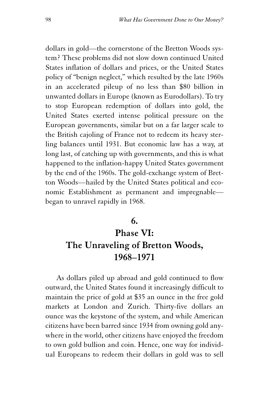dollars in gold—the cornerstone of the Bretton Woods system? These problems did not slow down continued United States inflation of dollars and prices, or the United States policy of "benign neglect," which resulted by the late 1960s in an accelerated pileup of no less than \$80 billion in unwanted dollars in Europe (known as Eurodollars). To try to stop European redemption of dollars into gold, the United States exerted intense political pressure on the European governments, similar but on a far larger scale to the British cajoling of France not to redeem its heavy sterling balances until 1931. But economic law has a way, at long last, of catching up with governments, and this is what happened to the inflation-happy United States government by the end of the 1960s. The gold-exchange system of Bretton Woods—hailed by the United States political and economic Establishment as permanent and impregnable began to unravel rapidly in 1968.

#### **6.**

## **Phase VI: The Unraveling of Bretton Woods, 1968–1971**

As dollars piled up abroad and gold continued to flow outward, the United States found it increasingly difficult to maintain the price of gold at \$35 an ounce in the free gold markets at London and Zurich. Thirty-five dollars an ounce was the keystone of the system, and while American citizens have been barred since 1934 from owning gold anywhere in the world, other citizens have enjoyed the freedom to own gold bullion and coin. Hence, one way for individual Europeans to redeem their dollars in gold was to sell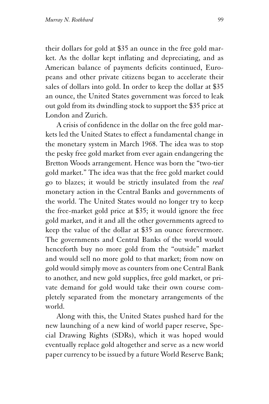their dollars for gold at \$35 an ounce in the free gold market. As the dollar kept inflating and depreciating, and as American balance of payments deficits continued, Europeans and other private citizens began to accelerate their sales of dollars into gold. In order to keep the dollar at \$35 an ounce, the United States government was forced to leak out gold from its dwindling stock to support the \$35 price at London and Zurich.

A crisis of confidence in the dollar on the free gold markets led the United States to effect a fundamental change in the monetary system in March 1968. The idea was to stop the pesky free gold market from ever again endangering the Bretton Woods arrangement. Hence was born the "two-tier gold market." The idea was that the free gold market could go to blazes; it would be strictly insulated from the *real* monetary action in the Central Banks and governments of the world. The United States would no longer try to keep the free-market gold price at \$35; it would ignore the free gold market, and it and all the other governments agreed to keep the value of the dollar at \$35 an ounce forevermore. The governments and Central Banks of the world would henceforth buy no more gold from the "outside" market and would sell no more gold to that market; from now on gold would simply move as counters from one Central Bank to another, and new gold supplies, free gold market, or private demand for gold would take their own course completely separated from the monetary arrangements of the world.

Along with this, the United States pushed hard for the new launching of a new kind of world paper reserve, Special Drawing Rights (SDRs), which it was hoped would eventually replace gold altogether and serve as a new world paper currency to be issued by a future World Reserve Bank;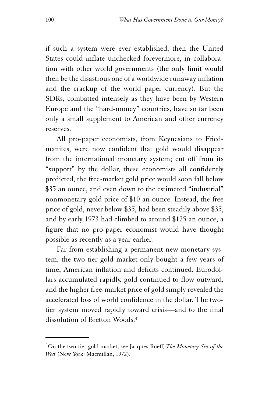if such a system were ever established, then the United States could inflate unchecked forevermore, in collaboration with other world governments (the only limit would then be the disastrous one of a worldwide runaway inflation and the crackup of the world paper currency). But the SDRs, combatted intensely as they have been by Western Europe and the "hard-money" countries, have so far been only a small supplement to American and other currency reserves.

All pro-paper economists, from Keynesians to Friedmanites, were now confident that gold would disappear from the international monetary system; cut off from its "support" by the dollar, these economists all confidently predicted, the free-market gold price would soon fall below \$35 an ounce, and even down to the estimated "industrial" nonmonetary gold price of \$10 an ounce. Instead, the free price of gold, never below \$35, had been steadily above \$35, and by early 1973 had climbed to around \$125 an ounce, a figure that no pro-paper economist would have thought possible as recently as a year earlier.

Far from establishing a permanent new monetary system, the two-tier gold market only bought a few years of time; American inflation and deficits continued. Eurodollars accumulated rapidly, gold continued to flow outward, and the higher free-market price of gold simply revealed the accelerated loss of world confidence in the dollar. The twotier system moved rapidly toward crisis—and to the final dissolution of Bretton Woods.4

<sup>4</sup>On the two-tier gold market, see Jacques Rueff, *The Monetary Sin of the West* (New York: Macmillan, 1972).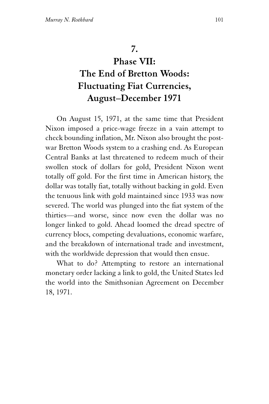### **7.**

### **Phase VII:**

## **The End of Bretton Woods: Fluctuating Fiat Currencies, August–December 1971**

On August 15, 1971, at the same time that President Nixon imposed a price-wage freeze in a vain attempt to check bounding inflation, Mr. Nixon also brought the postwar Bretton Woods system to a crashing end. As European Central Banks at last threatened to redeem much of their swollen stock of dollars for gold, President Nixon went totally off gold. For the first time in American history, the dollar was totally fiat, totally without backing in gold. Even the tenuous link with gold maintained since 1933 was now severed. The world was plunged into the fiat system of the thirties—and worse, since now even the dollar was no longer linked to gold. Ahead loomed the dread spectre of currency blocs, competing devaluations, economic warfare, and the breakdown of international trade and investment, with the worldwide depression that would then ensue.

What to do? Attempting to restore an international monetary order lacking a link to gold, the United States led the world into the Smithsonian Agreement on December 18, 1971.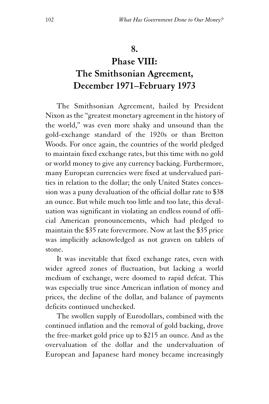#### **8.**

## **Phase VIII: The Smithsonian Agreement, December 1971–February 1973**

The Smithsonian Agreement, hailed by President Nixon as the "greatest monetary agreement in the history of the world," was even more shaky and unsound than the gold-exchange standard of the 1920s or than Bretton Woods. For once again, the countries of the world pledged to maintain fixed exchange rates, but this time with no gold or world money to give any currency backing. Furthermore, many European currencies were fixed at undervalued parities in relation to the dollar; the only United States concession was a puny devaluation of the official dollar rate to \$38 an ounce. But while much too little and too late, this devaluation was significant in violating an endless round of official American pronouncements, which had pledged to maintain the \$35 rate forevermore. Now at last the \$35 price was implicitly acknowledged as not graven on tablets of stone.

It was inevitable that fixed exchange rates, even with wider agreed zones of fluctuation, but lacking a world medium of exchange, were doomed to rapid defeat. This was especially true since American inflation of money and prices, the decline of the dollar, and balance of payments deficits continued unchecked.

The swollen supply of Eurodollars, combined with the continued inflation and the removal of gold backing, drove the free-market gold price up to \$215 an ounce. And as the overvaluation of the dollar and the undervaluation of European and Japanese hard money became increasingly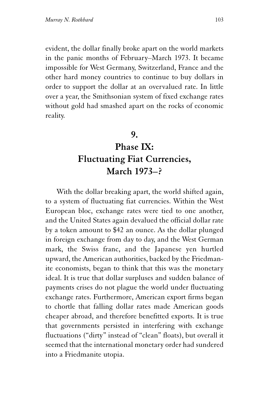evident, the dollar finally broke apart on the world markets in the panic months of February–March 1973. It became impossible for West Germany, Switzerland, France and the other hard money countries to continue to buy dollars in order to support the dollar at an overvalued rate. In little over a year, the Smithsonian system of fixed exchange rates without gold had smashed apart on the rocks of economic reality.

#### **9.**

## **Phase IX: Fluctuating Fiat Currencies, March 1973–?**

With the dollar breaking apart, the world shifted again, to a system of fluctuating fiat currencies. Within the West European bloc, exchange rates were tied to one another, and the United States again devalued the official dollar rate by a token amount to \$42 an ounce. As the dollar plunged in foreign exchange from day to day, and the West German mark, the Swiss franc, and the Japanese yen hurtled upward, the American authorities, backed by the Friedmanite economists, began to think that this was the monetary ideal. It is true that dollar surpluses and sudden balance of payments crises do not plague the world under fluctuating exchange rates. Furthermore, American export firms began to chortle that falling dollar rates made American goods cheaper abroad, and therefore benefitted exports. It is true that governments persisted in interfering with exchange fluctuations ("dirty" instead of "clean" floats), but overall it seemed that the international monetary order had sundered into a Friedmanite utopia.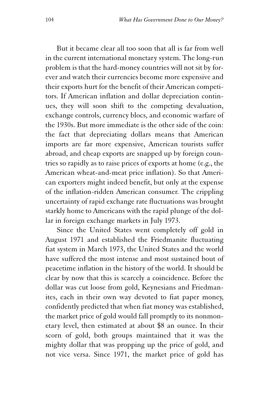But it became clear all too soon that all is far from well in the current international monetary system. The long-run problem is that the hard-money countries will not sit by forever and watch their currencies become more expensive and their exports hurt for the benefit of their American competitors. If American inflation and dollar depreciation continues, they will soon shift to the competing devaluation, exchange controls, currency blocs, and economic warfare of the 1930s. But more immediate is the other side of the coin: the fact that depreciating dollars means that American imports are far more expensive, American tourists suffer abroad, and cheap exports are snapped up by foreign countries so rapidly as to raise prices of exports at home (e.g., the American wheat-and-meat price inflation). So that American exporters might indeed benefit, but only at the expense of the inflation-ridden American consumer. The crippling uncertainty of rapid exchange rate fluctuations was brought starkly home to Americans with the rapid plunge of the dollar in foreign exchange markets in July 1973.

Since the United States went completely off gold in August 1971 and established the Friedmanite fluctuating fiat system in March 1973, the United States and the world have suffered the most intense and most sustained bout of peacetime inflation in the history of the world. It should be clear by now that this is scarcely a coincidence. Before the dollar was cut loose from gold, Keynesians and Friedmanites, each in their own way devoted to fiat paper money, confidently predicted that when fiat money was established, the market price of gold would fall promptly to its nonmonetary level, then estimated at about \$8 an ounce. In their scorn of gold, both groups maintained that it was the mighty dollar that was propping up the price of gold, and not vice versa. Since 1971, the market price of gold has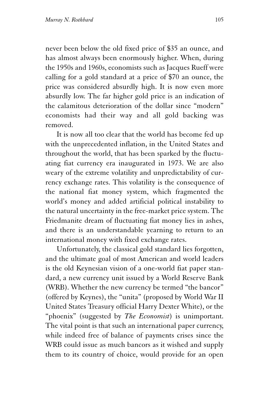never been below the old fixed price of \$35 an ounce, and has almost always been enormously higher. When, during the 1950s and 1960s, economists such as Jacques Rueff were calling for a gold standard at a price of \$70 an ounce, the price was considered absurdly high. It is now even more absurdly low. The far higher gold price is an indication of the calamitous deterioration of the dollar since "modern" economists had their way and all gold backing was removed.

It is now all too clear that the world has become fed up with the unprecedented inflation, in the United States and throughout the world, that has been sparked by the fluctuating fiat currency era inaugurated in 1973. We are also weary of the extreme volatility and unpredictability of currency exchange rates. This volatility is the consequence of the national fiat money system, which fragmented the world's money and added artificial political instability to the natural uncertainty in the free-market price system. The Friedmanite dream of fluctuating fiat money lies in ashes, and there is an understandable yearning to return to an international money with fixed exchange rates.

Unfortunately, the classical gold standard lies forgotten, and the ultimate goal of most American and world leaders is the old Keynesian vision of a one-world fiat paper standard, a new currency unit issued by a World Reserve Bank (WRB). Whether the new currency be termed "the bancor" (offered by Keynes), the "unita" (proposed by World War II United States Treasury official Harry Dexter White), or the "phoenix" (suggested by *The Economist*) is unimportant. The vital point is that such an international paper currency, while indeed free of balance of payments crises since the WRB could issue as much bancors as it wished and supply them to its country of choice, would provide for an open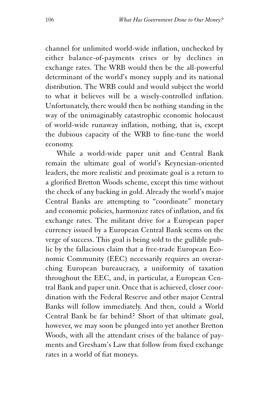channel for unlimited world-wide inflation, unchecked by either balance-of-payments crises or by declines in exchange rates. The WRB would then be the all-powerful determinant of the world's money supply and its national distribution. The WRB could and would subject the world to what it believes will be a wisely-controlled inflation. Unfortunately, there would then be nothing standing in the way of the unimaginably catastrophic economic holocaust of world-wide runaway inflation, nothing, that is, except the dubious capacity of the WRB to fine-tune the world economy.

While a world-wide paper unit and Central Bank remain the ultimate goal of world's Keynesian-oriented leaders, the more realistic and proximate goal is a return to a glorified Bretton Woods scheme, except this time without the check of any backing in gold. Already the world's major Central Banks are attempting to "coordinate" monetary and economic policies, harmonize rates of inflation, and fix exchange rates. The militant drive for a European paper currency issued by a European Central Bank seems on the verge of success. This goal is being sold to the gullible public by the fallacious claim that a free-trade European Economic Community (EEC) necessarily requires an overarching European bureaucracy, a uniformity of taxation throughout the EEC, and, in particular, a European Central Bank and paper unit. Once that is achieved, closer coordination with the Federal Reserve and other major Central Banks will follow immediately. And then, could a World Central Bank be far behind? Short of that ultimate goal, however, we may soon be plunged into yet another Bretton Woods, with all the attendant crises of the balance of payments and Gresham's Law that follow from fixed exchange rates in a world of fiat moneys.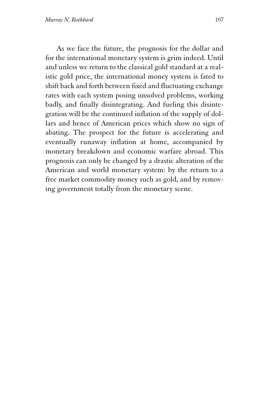As we face the future, the prognosis for the dollar and for the international monetary system is grim indeed. Until and unless we return to the classical gold standard at a realistic gold price, the international money system is fated to shift back and forth between fixed and fluctuating exchange rates with each system posing unsolved problems, working badly, and finally disintegrating. And fueling this disintegration will be the continued inflation of the supply of dollars and hence of American prices which show no sign of abating. The prospect for the future is accelerating and eventually runaway inflation at home, accompanied by monetary breakdown and economic warfare abroad. This prognosis can only be changed by a drastic alteration of the American and world monetary system: by the return to a free market commodity money such as gold, and by removing government totally from the monetary scene.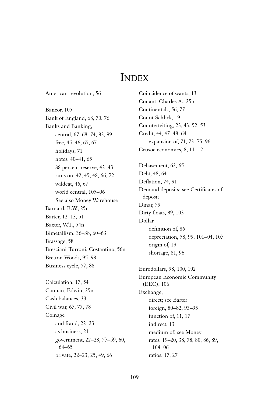## **INDEX**

American revolution, 56

Bancor, 105 Bank of England, 68, 70, 76 Banks and Banking, central, 67, 68–74, 82, 99 free, 45–46, 65, 67 holidays, 71 notes, 40–41, 65 88 percent reserve, 42–43 runs on, 42, 45, 48, 66, 72 wildcat, 46, 67 world central, 105–06 See also Money Warehouse Barnard, B.W., 25n Barter, 12–13, 51 Baxter, W.T., 54n Bimetallism, 36–38, 60–63 Brassage, 58 Bresciani-Turroni, Costantino, 56n Bretton Woods, 95–98 Business cycle, 57, 88 Calculation, 17, 54 Cannan, Edwin, 25n Cash balances, 33 Civil war, 67, 77, 78 Coinage and fraud, 22–23 as business, 21 government, 22–23, 57–59, 60, 64–65 private, 22–23, 25, 49, 66

Coincidence of wants, 13 Conant, Charles A., 25n Continentals, 56, 77 Count Schlick, 19 Counterfeiting, 23, 43, 52–53 Credit, 44, 47–48, 64 expansion of, 71, 73–75, 96 Crusoe economics, 8, 11–12 Debasement, 62, 65 Debt, 48, 64 Deflation, 74, 91 Demand deposits; see Certificates of deposit Dinar, 59 Dirty floats, 89, 103 Dollar definition of, 86 depreciation, 58, 99, 101–04, 107 origin of, 19 shortage, 81, 96 Eurodollars, 98, 100, 102 European Economic Community (EEC), 106 Exchange, direct; see Barter foreign, 80–82, 93–95 function of, 11, 17

> indirect, 13 medium of; see Money rates, 19–20, 38, 78, 80, 86, 89, 104–06 ratios, 17, 27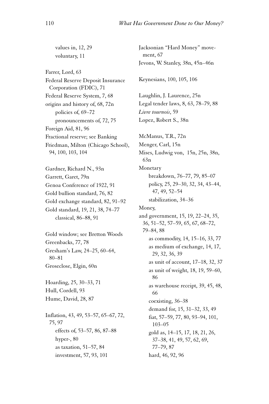values in, 12, 29 voluntary, 11 Farrer, Lord, 63 Federal Reserve Deposit Insurance Corporation (FDIC), 71 Federal Reserve System, 7, 68 origins and history of, 68, 72n policies of, 69–72 pronouncements of, 72, 75 Foreign Aid, 81, 96 Fractional reserve; see Banking Friedman, Milton (Chicago School), 94, 100, 103, 104 Gardner, Richard N., 93n Garrett, Garet, 79n Genoa Conference of 1922, 91 Gold bullion standard, 76, 82 Gold exchange standard, 82, 91–92 Gold standard, 19, 21, 38, 74–77 classical, 86–88, 91 Gold window; see Bretton Woods Greenbacks, 77, 78 Gresham's Law, 24–25, 60–64, 80–81 Groseclose, Elgin, 60n Hoarding, 25, 30–33, 71 Hull, Cordell, 93 Hume, David, 28, 87 Inflation, 43, 49, 53–57, 65–67, 72, 75, 97 effects of, 53–57, 86, 87–88 hyper-, 80 as taxation, 51–57, 84 investment, 57, 93, 101 Jacksonian "Hard Money" movement, 67 Jevons, W. Stanley, 38n, 45n–46n Keynesians, 100, 105, 106 Laughlin, J. Laurence, 25n Legal tender laws, 8, 63, 78–79, 88 *Livre tournois*, 59 Lopez, Robert S., 38n McManus, T.R., 72n Menger, Carl, 15n Mises, Ludwig von, 15n, 25n, 38n, 63n Monetary breakdown, 76–77, 79, 85–07 policy, 25, 29–30, 32, 34, 43–44, 47, 49, 52–54 stabilization, 34–36 Money, and government, 15, 19, 22–24, 35, 36, 51–52, 57–59, 65, 67, 68–72, 79–84, 88 as commodity, 14, 15–16, 33, 77 as medium of exchange, 14, 17, 29, 32, 36, 39 as unit of account, 17–18, 32, 37 as unit of weight, 18, 19, 59–60, 86 as warehouse receipt, 39, 45, 48, 66 coexisting, 36–38 demand for, 15, 31–32, 33, 49 fiat, 57–59, 77, 80, 93–94, 101, 103–05 gold as, 14–15, 17, 18, 21, 26, 37–38, 41, 49, 57, 62, 69, 77–79, 87 hard, 46, 92, 96